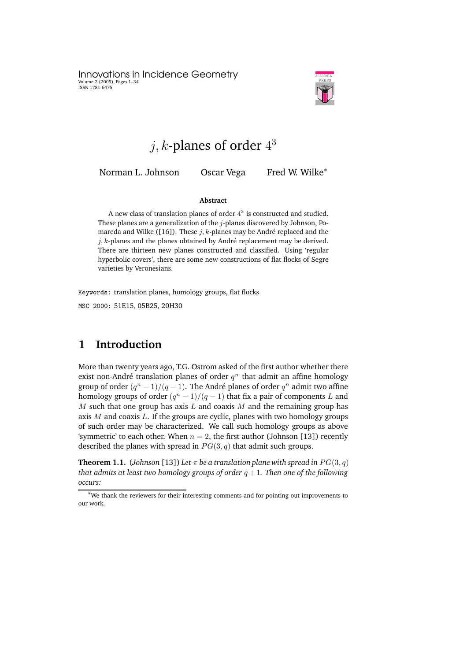Innovations in Incidence Geometry Volume 2 (2005), Pages 1–34 ISSN 1781-6475



# $j, k$ -planes of order  $4^3$

Norman L. Johnson Oscar Vega Fred W. Wilke<sup>∗</sup>

#### **Abstract**

A new class of translation planes of order  $4^3$  is constructed and studied. These planes are a generalization of the  $j$ -planes discovered by Johnson, Pomareda and Wilke ([16]). These  $j, k$ -planes may be André replaced and the  $j, k$ -planes and the planes obtained by André replacement may be derived. There are thirteen new planes constructed and classified. Using 'regular hyperbolic covers', there are some new constructions of flat flocks of Segre varieties by Veronesians.

Keywords: translation planes, homology groups, flat flocks MSC 2000: 51E15, 05B25, 20H30

### **1 Introduction**

More than twenty years ago, T.G. Ostrom asked of the first author whether there exist non-André translation planes of order  $q^n$  that admit an affine homology group of order  $(q^n - 1)/(q - 1)$ . The André planes of order  $q^n$  admit two affine homology groups of order  $(q^n - 1)/(q - 1)$  that fix a pair of components L and  $M$  such that one group has axis  $L$  and coaxis  $M$  and the remaining group has axis  $M$  and coaxis  $L$ . If the groups are cyclic, planes with two homology groups of such order may be characterized. We call such homology groups as above 'symmetric' to each other. When  $n = 2$ , the first author (Johnson [13]) recently described the planes with spread in  $PG(3, q)$  that admit such groups.

**Theorem 1.1.** (*Johnson* [13]) *Let*  $\pi$  *be a translation plane with spread in*  $PG(3, q)$ *that admits at least two homology groups of order*  $q + 1$ *. Then one of the following occurs:*

<sup>∗</sup>We thank the reviewers for their interesting comments and for pointing out improvements to our work.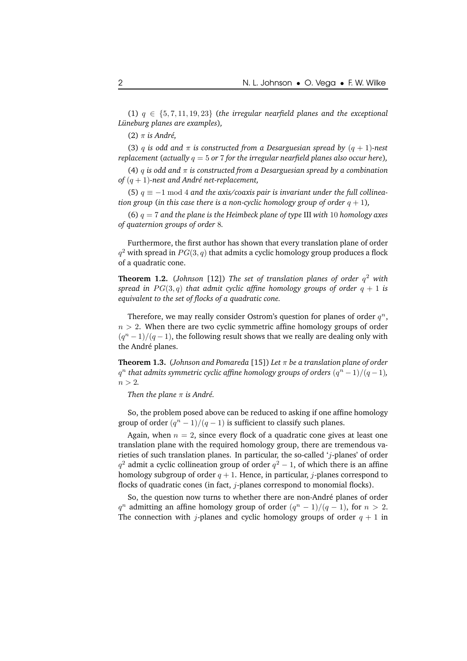(1)  $q \in \{5, 7, 11, 19, 23\}$  (the *irregular nearfield planes and the exceptional Luneburg ¨ planes are examples*)*,*

(2)  $\pi$  *is André*,

(3) q *is odd* and  $\pi$  *is constructed from a Desarguesian spread by*  $(q + 1)$ *-nest replacement* (*actually* q = 5 *or* 7 *for the irregular nearfield planes also occur here*)*,*

(4) q *is odd and* π *is constructed from a Desarguesian spread by a combination of*  $(q + 1)$ -nest and André net-replacement,

(5)  $q \equiv −1 \mod 4$  *and the axis/coaxis pair is invariant under the full collineation group* (*in this case there is a non-cyclic homology group of order*  $q + 1$ *)*,

(6) q = 7 *and the plane is the Heimbeck plane of type* III *with* 10 *homology axes of quaternion groups of order* 8*.*

Furthermore, the first author has shown that every translation plane of order  $q^2$  with spread in  $PG(3,q)$  that admits a cyclic homology group produces a flock of a quadratic cone.

**Theorem 1.2.** (*Johnson* [12]) *The set of translation planes of order* q <sup>2</sup> *with spread in*  $PG(3, q)$  *that admit cyclic affine homology groups of order*  $q + 1$  *is equivalent to the set of flocks of a quadratic cone.*

Therefore, we may really consider Ostrom's question for planes of order  $q^n$ ,  $n > 2$ . When there are two cyclic symmetric affine homology groups of order  $(q^{n}-1)/(q-1)$ , the following result shows that we really are dealing only with the André planes.

**Theorem 1.3.** (*Johnson and Pomareda* [15]) *Let* π *be a translation plane of order*  $q^n$  *that admits symmetric cyclic affine homology groups of orders*  $(q^n - 1)/(q - 1)$ *,*  $n > 2$ .

*Then the plane*  $\pi$  *is André.* 

So, the problem posed above can be reduced to asking if one affine homology group of order  $(q^n - 1)/(q - 1)$  is sufficient to classify such planes.

Again, when  $n = 2$ , since every flock of a quadratic cone gives at least one translation plane with the required homology group, there are tremendous varieties of such translation planes. In particular, the so-called 'j-planes' of order  $q^2$  admit a cyclic collineation group of order  $q^2-1$ , of which there is an affine homology subgroup of order  $q + 1$ . Hence, in particular, *j*-planes correspond to flocks of quadratic cones (in fact,  $j$ -planes correspond to monomial flocks).

So, the question now turns to whether there are non-André planes of order  $q^n$  admitting an affine homology group of order  $(q^n - 1)/(q - 1)$ , for  $n > 2$ . The connection with j-planes and cyclic homology groups of order  $q + 1$  in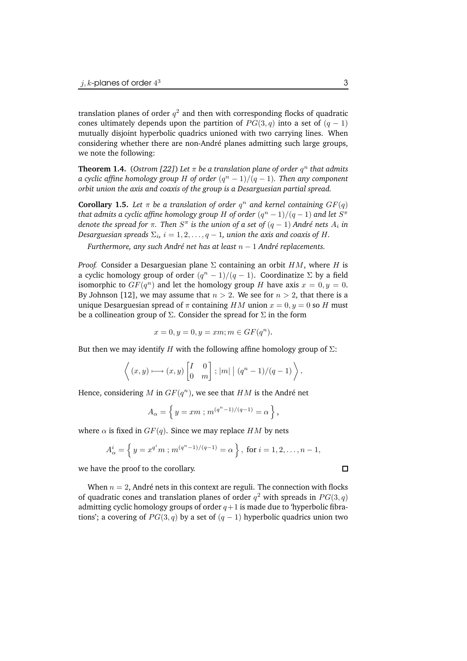translation planes of order  $q^2$  and then with corresponding flocks of quadratic cones ultimately depends upon the partition of  $PG(3, q)$  into a set of  $(q - 1)$ mutually disjoint hyperbolic quadrics unioned with two carrying lines. When considering whether there are non-André planes admitting such large groups, we note the following:

**Theorem 1.4.** (Ostrom [22]) Let  $\pi$  be a translation plane of order  $q^n$  that admits *a cyclic affine homology group H of order*  $(q^n - 1)/(q - 1)$ . *Then any component orbit union the axis and coaxis of the group is a Desarguesian partial spread.*

**Corollary 1.5.** Let  $\pi$  be a translation of order  $q^n$  and kernel containing  $GF(q)$ *that admits a cyclic affine homology group*  $H$  *of order*  $(q^n - 1)/(q - 1)$  *and let*  $S^{\pi}$ *denote the spread for*  $\pi$ . *Then*  $S^{\pi}$  *is the union of a set of*  $(q-1)$  *André nets*  $A_i$  *in Desarguesian spreads*  $\Sigma_i$ ,  $i = 1, 2, \ldots, q - 1$ , *union the axis and coaxis of H*.

*Furthermore, any such André net has at least*  $n - 1$  *André replacements.* 

*Proof.* Consider a Desarguesian plane  $\Sigma$  containing an orbit  $HM$ , where H is a cyclic homology group of order  $(q^n - 1)/(q - 1)$ . Coordinatize  $\Sigma$  by a field isomorphic to  $GF(q^n)$  and let the homology group H have axis  $x = 0, y = 0$ . By Johnson [12], we may assume that  $n > 2$ . We see for  $n > 2$ , that there is a unique Desarguesian spread of  $\pi$  containing HM union  $x = 0, y = 0$  so H must be a collineation group of  $\Sigma$ . Consider the spread for  $\Sigma$  in the form

$$
x = 0, y = 0, y = xm; m \in GF(q^n).
$$

But then we may identify H with the following affine homology group of  $\Sigma$ :

$$
\left\langle (x,y)\longmapsto (x,y)\begin{bmatrix} I & 0 \\ 0 & m \end{bmatrix}; |m| \mid (q^n-1)/(q-1) \right\rangle.
$$

Hence, considering M in  $GF(q^n)$ , we see that  $HM$  is the André net

$$
A_{\alpha} = \left\{ y = xm : m^{(q^n - 1)/(q-1)} = \alpha \right\},\,
$$

where  $\alpha$  is fixed in  $GF(q)$ . Since we may replace HM by nets

$$
A_{\alpha}^{i} = \left\{ y = x^{q^{i}} m ; m^{(q^{n}-1)/(q-1)} = \alpha \right\}, \text{ for } i = 1, 2, ..., n-1,
$$

we have the proof to the corollary.

When  $n = 2$ , André nets in this context are reguli. The connection with flocks of quadratic cones and translation planes of order  $q^2$  with spreads in  $PG(3, q)$ admitting cyclic homology groups of order  $q+1$  is made due to 'hyperbolic fibrations'; a covering of  $PG(3, q)$  by a set of  $(q - 1)$  hyperbolic quadrics union two

 $\Box$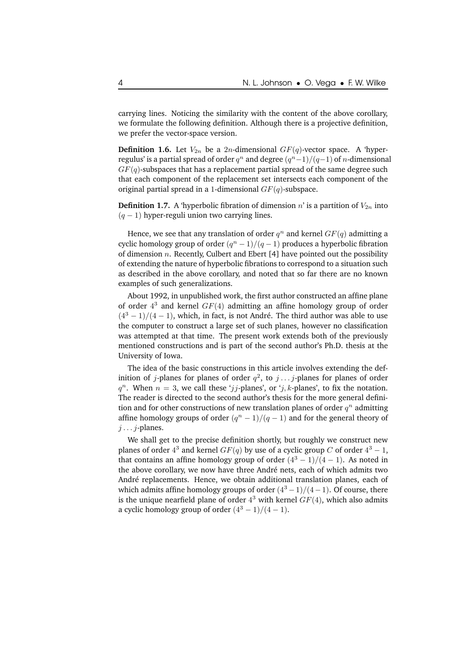carrying lines. Noticing the similarity with the content of the above corollary, we formulate the following definition. Although there is a projective definition, we prefer the vector-space version.

**Definition 1.6.** Let  $V_{2n}$  be a 2n-dimensional  $GF(q)$ -vector space. A 'hyperregulus' is a partial spread of order  $q^n$  and degree  $(q^n{-}1)/(q{-}1)$  of  $n$ -dimensional  $GF(q)$ -subspaces that has a replacement partial spread of the same degree such that each component of the replacement set intersects each component of the original partial spread in a 1-dimensional  $GF(q)$ -subspace.

**Definition 1.7.** A 'hyperbolic fibration of dimension  $n'$  is a partition of  $V_{2n}$  into  $(q - 1)$  hyper-reguli union two carrying lines.

Hence, we see that any translation of order  $q^n$  and kernel  $GF(q)$  admitting a cyclic homology group of order  $(q^{n}-1)/(q-1)$  produces a hyperbolic fibration of dimension  $n$ . Recently, Culbert and Ebert [4] have pointed out the possibility of extending the nature of hyperbolic fibrations to correspond to a situation such as described in the above corollary, and noted that so far there are no known examples of such generalizations.

About 1992, in unpublished work, the first author constructed an affine plane of order  $4^3$  and kernel  $GF(4)$  admitting an affine homology group of order  $(4<sup>3</sup> - 1)/(4 - 1)$ , which, in fact, is not André. The third author was able to use the computer to construct a large set of such planes, however no classification was attempted at that time. The present work extends both of the previously mentioned constructions and is part of the second author's Ph.D. thesis at the University of Iowa.

The idea of the basic constructions in this article involves extending the definition of j-planes for planes of order  $q^2$ , to  $j \ldots j$ -planes for planes of order  $q^n$ . When  $n = 3$ , we call these 'j j-planes', or 'j, k-planes', to fix the notation. The reader is directed to the second author's thesis for the more general definition and for other constructions of new translation planes of order  $q^n$  admitting affine homology groups of order  $(q^n - 1)/(q - 1)$  and for the general theory of  $j \ldots j$ -planes.

We shall get to the precise definition shortly, but roughly we construct new planes of order  $4^3$  and kernel  $GF(q)$  by use of a cyclic group C of order  $4^3 - 1$ , that contains an affine homology group of order  $(4^3 - 1)/(4 - 1)$ . As noted in the above corollary, we now have three André nets, each of which admits two André replacements. Hence, we obtain additional translation planes, each of which admits affine homology groups of order  $(4^3 - 1)/(4 - 1)$ . Of course, there is the unique nearfield plane of order  $4^3$  with kernel  $GF(4)$ , which also admits a cyclic homology group of order  $(4^3 - 1)/(4 - 1)$ .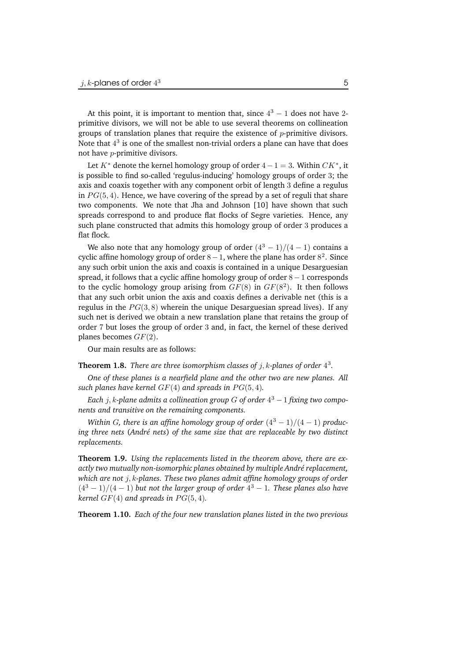At this point, it is important to mention that, since  $4^3 - 1$  does not have 2primitive divisors, we will not be able to use several theorems on collineation groups of translation planes that require the existence of  $p$ -primitive divisors. Note that  $4^3$  is one of the smallest non-trivial orders a plane can have that does not have p-primitive divisors.

Let  $K^*$  denote the kernel homology group of order  $4-1=3$ . Within  $CK^*$ , it is possible to find so-called 'regulus-inducing' homology groups of order 3; the axis and coaxis together with any component orbit of length 3 define a regulus in  $PG(5, 4)$ . Hence, we have covering of the spread by a set of reguli that share two components. We note that Jha and Johnson [10] have shown that such spreads correspond to and produce flat flocks of Segre varieties. Hence, any such plane constructed that admits this homology group of order 3 produces a flat flock.

We also note that any homology group of order  $(4^3 - 1)/(4 - 1)$  contains a cyclic affine homology group of order  $8-1$ , where the plane has order  $8^2$ . Since any such orbit union the axis and coaxis is contained in a unique Desarguesian spread, it follows that a cyclic affine homology group of order  $8-1$  corresponds to the cyclic homology group arising from  $GF(8)$  in  $GF(8^2)$ . It then follows that any such orbit union the axis and coaxis defines a derivable net (this is a regulus in the  $PG(3, 8)$  wherein the unique Desarguesian spread lives). If any such net is derived we obtain a new translation plane that retains the group of order 7 but loses the group of order 3 and, in fact, the kernel of these derived planes becomes  $GF(2)$ .

Our main results are as follows:

**Theorem 1.8.** There are three isomorphism classes of  $j$ , k-planes of order  $4^3$ .

*One of these planes is a nearfield plane and the other two are new planes. All such planes have kernel* GF(4) *and spreads in* PG(5, 4)*.*

*Each* j, k*-plane admits a collineation group* G *of order* 4 <sup>3</sup> <sup>−</sup> <sup>1</sup> *fixing two components and transitive on the remaining components.*

*Within G*, *there is* an affine *homology group of order*  $(4^3 - 1)/(4 - 1)$  *producing three nets* (*Andr´e nets*) *of the same size that are replaceable by two distinct replacements.*

**Theorem 1.9.** *Using the replacements listed in the theorem above, there are exactly two mutually non-isomorphic planes obtained by multiple Andr´e replacement, which are not* j, k*-planes. These two planes admit affine homology groups of order* (4<sup>3</sup> <sup>−</sup> 1)/(4 <sup>−</sup> 1) *but not the larger group of order* <sup>4</sup> <sup>3</sup> <sup>−</sup> <sup>1</sup>*. These planes also have kernel* GF(4) *and spreads in* PG(5, 4)*.*

**Theorem 1.10.** *Each of the four new translation planes listed in the two previous*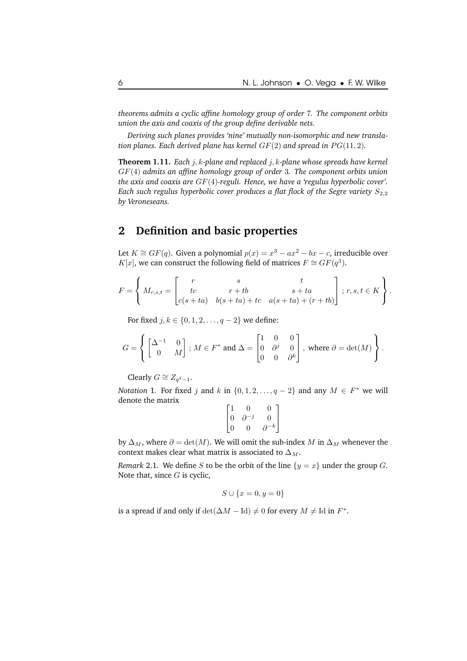*theorems admits a cyclic affine homology group of order* 7*. The component orbits union the axis and coaxis of the group define derivable nets.*

*Deriving such planes provides 'nine' mutually non-isomorphic and new translation planes. Each derived plane has kernel* GF(2) *and spread in* PG(11, 2)*.*

**Theorem 1.11.** *Each* j, k*-plane and replaced* j, k*-plane whose spreads have kernel* GF(4) *admits an affine homology group of order* 3*. The component orbits union the axis and coaxis are* GF(4)*-reguli. Hence, we have a 'regulus hyperbolic cover'. Each such regulus hyperbolic cover produces a flat flock of the Segre variety*  $S_{2,2}$ *by Veroneseans.*

### **2 Definition and basic properties**

Let  $K \cong GF(q)$ . Given a polynomial  $p(x) = x^3 - ax^2 - bx - c$ , irreducible over  $K[x]$ , we can construct the following field of matrices  $F \cong GF(q^3)$ .

$$
F = \left\{ M_{r,s,t} = \begin{bmatrix} r & s & t \\ tc & r+tb & s+ta \\ c(s+ta) & b(s+ta)+tc & a(s+ta)+(r+tb) \end{bmatrix} ; r, s, t \in K \right\}.
$$

For fixed *j*, *k* ∈ {0, 1, 2, . . . , *q* − 2} we define:

$$
G=\left\{\begin{bmatrix}\Delta^{-1} & 0 \\ 0 & M\end{bmatrix}\text{; }M\in F^*\text{ and }\Delta=\begin{bmatrix}1 & 0 & 0 \\ 0 & \partial^j & 0 \\ 0 & 0 & \partial^k\end{bmatrix},\text{ where }\partial=\det(M)\right\}.
$$

Clearly  $G \cong Z_{q^3-1}$ .

*Notation* 1. For fixed *j* and *k* in  $\{0, 1, 2, \ldots, q - 2\}$  and any  $M \in F^*$  we will denote the matrix

$$
\begin{bmatrix} 1 & 0 & 0 \\ 0 & \partial^{-j} & 0 \\ 0 & 0 & \partial^{-k} \end{bmatrix}
$$

by  $\Delta_M$ , where  $\partial = \det(M)$ . We will omit the sub-index M in  $\Delta_M$  whenever the context makes clear what matrix is associated to  $\Delta_M$ .

*Remark* 2.1*.* We define *S* to be the orbit of the line  $\{y = x\}$  under the group *G*. Note that, since  $G$  is cyclic,

$$
S\cup\{x=0,y=0\}
$$

is a spread if and only if  $\det(\Delta M - \text{Id}) \neq 0$  for every  $M \neq \text{Id}$  in  $F^*$ .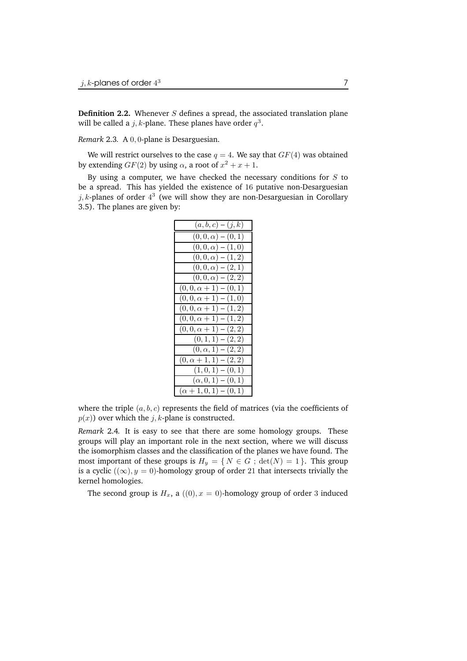**Definition 2.2.** Whenever S defines a spread, the associated translation plane will be called a  $j, k$ -plane. These planes have order  $q^3$ .

*Remark* 2.3*.* A 0, 0-plane is Desarguesian.

We will restrict ourselves to the case  $q = 4$ . We say that  $GF(4)$  was obtained by extending  $GF(2)$  by using  $\alpha$ , a root of  $x^2 + x + 1$ .

By using a computer, we have checked the necessary conditions for  $S$  to be a spread. This has yielded the existence of 16 putative non-Desarguesian  $j, k$ -planes of order  $4^3$  (we will show they are non-Desarguesian in Corollary 3.5). The planes are given by:

| $(a, b, c) - (j, k)$          |
|-------------------------------|
| $(0,0,\alpha) - (0,1)$        |
| $(0,0,\alpha) - (1,0)$        |
| $(0,0,\alpha) - (1,2)$        |
| $(0,0,\alpha) - (2,1)$        |
| $(0,0,\alpha) - (2,2)$        |
| $(0,0,\alpha+1) - (0,1)$      |
| $(0,0,\alpha+1) - (1,0)$      |
| $(0,0,\alpha+1) - (1,2)$      |
| $(0,0,\alpha+1) - (1,2)$      |
| $(0,0,\alpha+1) - (2,2)$      |
| $(0,1,1) - (2,2)$             |
| $(0, \alpha, 1) - (2, 2)$     |
| $(0, \alpha + 1, 1) - (2, 2)$ |
| $(1,0,1) - (0,1)$             |
| $(\alpha, 0, 1) - (0, 1)$     |
| $(\alpha + 1, 0, 1) - (0, 1)$ |

where the triple  $(a, b, c)$  represents the field of matrices (via the coefficients of  $p(x)$ ) over which the j, k-plane is constructed.

*Remark* 2.4*.* It is easy to see that there are some homology groups. These groups will play an important role in the next section, where we will discuss the isomorphism classes and the classification of the planes we have found. The most important of these groups is  $H_y = \{ N \in G : \det(N) = 1 \}$ . This group is a cyclic  $((\infty), y = 0)$ -homology group of order 21 that intersects trivially the kernel homologies.

The second group is  $H_x$ , a  $((0), x = 0)$ -homology group of order 3 induced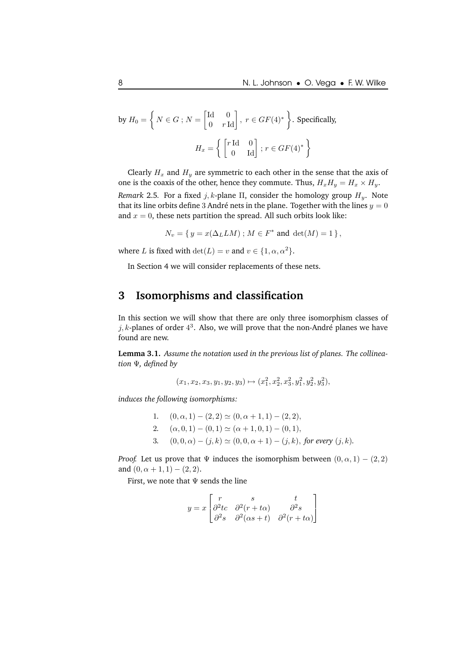by 
$$
H_0 = \left\{ N \in G : N = \begin{bmatrix} \text{Id} & 0 \\ 0 & r \text{ Id} \end{bmatrix}, r \in GF(4)^* \right\}
$$
. Specifically,  

$$
H_x = \left\{ \begin{bmatrix} r \text{ Id} & 0 \\ 0 & \text{ Id} \end{bmatrix} ; r \in GF(4)^* \right\}
$$

Clearly  $H_x$  and  $H_y$  are symmetric to each other in the sense that the axis of one is the coaxis of the other, hence they commute. Thus,  $H_xH_y = H_x \times H_y$ .

*Remark* 2.5. For a fixed  $j, k$ -plane  $\Pi$ , consider the homology group  $H_y$ . Note that its line orbits define 3 André nets in the plane. Together with the lines  $y = 0$ and  $x = 0$ , these nets partition the spread. All such orbits look like:

$$
N_v = \{ y = x(\Delta_L LM) ; M \in F^* \text{ and } \det(M) = 1 \},
$$

where L is fixed with  $\det(L) = v$  and  $v \in \{1, \alpha, \alpha^2\}.$ 

In Section 4 we will consider replacements of these nets.

### **3 Isomorphisms and classification**

In this section we will show that there are only three isomorphism classes of  $j, k$ -planes of order  $4^3$ . Also, we will prove that the non-André planes we have found are new.

**Lemma 3.1.** *Assume the notation used in the previous list of planes. The collineation* Ψ*, defined by*

$$
(x_1, x_2, x_3, y_1, y_2, y_3) \mapsto (x_1^2, x_2^2, x_3^2, y_1^2, y_2^2, y_3^2),
$$

*induces the following isomorphisms:*

1.  $(0, \alpha, 1) - (2, 2) \simeq (0, \alpha + 1, 1) - (2, 2),$ 2.  $(\alpha, 0, 1) - (0, 1) \simeq (\alpha + 1, 0, 1) - (0, 1),$ 3.  $(0, 0, \alpha) - (j, k) \simeq (0, 0, \alpha + 1) - (j, k)$ , *for every*  $(j, k)$ .

*Proof.* Let us prove that  $\Psi$  induces the isomorphism between  $(0, \alpha, 1) - (2, 2)$ and  $(0, \alpha + 1, 1) - (2, 2)$ .

First, we note that  $\Psi$  sends the line

$$
y = x \begin{bmatrix} r & s & t \\ \partial^2 tc & \partial^2 (r + t\alpha) & \partial^2 s \\ \partial^2 s & \partial^2 (\alpha s + t) & \partial^2 (r + t\alpha) \end{bmatrix}
$$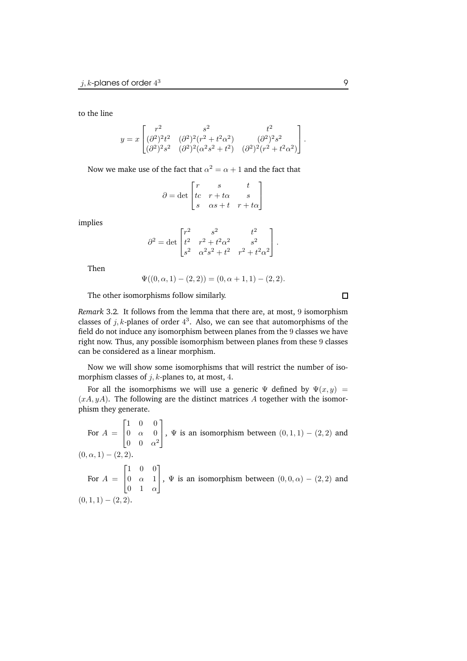to the line

$$
y = x \begin{bmatrix} r^2 & s^2 & t^2 \\ (\partial^2)^2 t^2 & (\partial^2)^2 (r^2 + t^2 \alpha^2) & (\partial^2)^2 s^2 \\ (\partial^2)^2 s^2 & (\partial^2)^2 (\alpha^2 s^2 + t^2) & (\partial^2)^2 (r^2 + t^2 \alpha^2) \end{bmatrix}.
$$

Now we make use of the fact that  $\alpha^2 = \alpha + 1$  and the fact that

$$
\partial = \det \begin{bmatrix} r & s & t \\ tc & r+t\alpha & s \\ s & \alpha s+t & r+t\alpha \end{bmatrix}
$$

implies

$$
\partial^2 = \det \begin{bmatrix} r^2 & s^2 & t^2 \\ t^2 & r^2 + t^2 \alpha^2 & s^2 \\ s^2 & \alpha^2 s^2 + t^2 & r^2 + t^2 \alpha^2 \end{bmatrix}.
$$

Then

$$
\Psi((0,\alpha,1)-(2,2))=(0,\alpha+1,1)-(2,2).
$$

The other isomorphisms follow similarly.

*Remark* 3.2*.* It follows from the lemma that there are, at most, 9 isomorphism classes of  $j, k$ -planes of order  $4^3$ . Also, we can see that automorphisms of the field do not induce any isomorphism between planes from the 9 classes we have right now. Thus, any possible isomorphism between planes from these 9 classes can be considered as a linear morphism.

Now we will show some isomorphisms that will restrict the number of isomorphism classes of  $j$ ,  $k$ -planes to, at most, 4.

For all the isomorphisms we will use a generic  $\Psi$  defined by  $\Psi(x, y) =$  $(xA, yA)$ . The following are the distinct matrices A together with the isomorphism they generate.

For  $A =$  $\sqrt{ }$  $\mathbf{I}$ 1 0 0  $0 \alpha 0$  $0 \quad 0 \quad \alpha^2$ 1 ,  $\Psi$  is an isomorphism between  $(0, 1, 1) - (2, 2)$  and  $(0, \alpha, 1) - (2, 2).$ For  $A =$  $\sqrt{ }$  $\overline{1}$ 1 0 0  $0 \alpha 1$  $0 \quad 1 \quad \alpha$ 1 ,  $\Psi$  is an isomorphism between  $(0, 0, \alpha) - (2, 2)$  and  $(0, 1, 1) - (2, 2).$ 

 $\Box$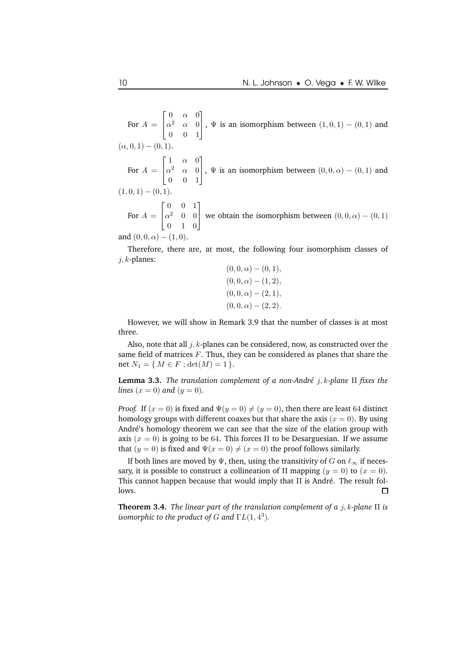For  $A =$  $\sqrt{ }$  $\mathbf{I}$  $0 \alpha 0$  $\alpha^2 \quad \alpha \quad 0$ 0 0 1 1 ,  $\Psi$  is an isomorphism between  $(1, 0, 1) - (0, 1)$  and  $(\alpha, 0, 1) - (0, 1).$ For  $A =$  $\sqrt{ }$  $\mathbf{I}$  $1 \alpha 0$  $\alpha^2 \quad \alpha \quad 0$ 0 0 1 1 ,  $\Psi$  is an isomorphism between  $(0, 0, \alpha) - (0, 1)$  and  $(1, 0, 1) - (0, 1).$ For  $A =$  $\sqrt{ }$  $\mathbf{I}$ 0 0 1  $\alpha^2$  0 0 0 1 0 1 we obtain the isomorphism between  $(0, 0, \alpha) - (0, 1)$ and  $(0, 0, \alpha) - (1, 0)$ .

Therefore, there are, at most, the following four isomorphism classes of  $j, k$ -planes:  $(0, 0, 1, 0, 1)$ 

$$
(0, 0, \alpha) - (0, 1),
$$
  
\n
$$
(0, 0, \alpha) - (1, 2),
$$
  
\n
$$
(0, 0, \alpha) - (2, 1),
$$
  
\n
$$
(0, 0, \alpha) - (2, 2).
$$

However, we will show in Remark 3.9 that the number of classes is at most three.

Also, note that all  $j, k$ -planes can be considered, now, as constructed over the same field of matrices  $F$ . Thus, they can be considered as planes that share the net  $N_1 = \{ M \in F ; \det(M) = 1 \}.$ 

**Lemma 3.3.** The *translation complement of a non-André j, k-plane*  $\Pi$  *fixes the lines*  $(x = 0)$  *and*  $(y = 0)$ *.* 

*Proof.* If  $(x = 0)$  is fixed and  $\Psi(y = 0) \neq (y = 0)$ , then there are least 64 distinct homology groups with different coaxes but that share the axis  $(x = 0)$ . By using André's homology theorem we can see that the size of the elation group with axis  $(x = 0)$  is going to be 64. This forces  $\Pi$  to be Desarguesian. If we assume that  $(y = 0)$  is fixed and  $\Psi(x = 0) \neq (x = 0)$  the proof follows similarly.

If both lines are moved by Ψ, then, using the transitivity of G on  $\ell_{\infty}$  if necessary, it is possible to construct a collineation of  $\Pi$  mapping  $(y = 0)$  to  $(x = 0)$ . This cannot happen because that would imply that  $\Pi$  is André. The result follows. П

**Theorem 3.4.** *The linear part of the translation complement of a* j, k*-plane* Π *is isomorphic to the product of G and*  $\Gamma L(1,4^3)$ *.*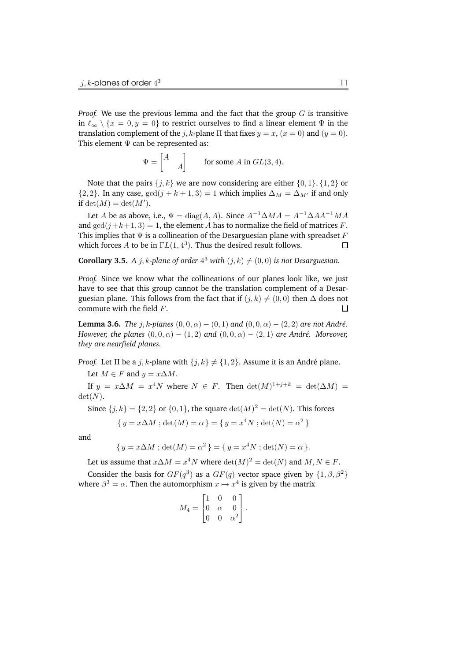*Proof.* We use the previous lemma and the fact that the group  $G$  is transitive in  $\ell_{\infty} \setminus \{x = 0, y = 0\}$  to restrict ourselves to find a linear element  $\Psi$  in the translation complement of the *j*, *k*-plane  $\Pi$  that fixes  $y = x$ ,  $(x = 0)$  and  $(y = 0)$ . This element  $\Psi$  can be represented as:

$$
\Psi = \begin{bmatrix} A \\ & A \end{bmatrix}
$$
 for some  $A$  in  $GL(3, 4)$ .

Note that the pairs  $\{j, k\}$  we are now considering are either  $\{0, 1\}$ ,  $\{1, 2\}$  or  ${2, 2}$ . In any case,  $gcd(j + k + 1, 3) = 1$  which implies  $\Delta_M = \Delta_{M'}$  if and only if  $\det(M) = \det(M').$ 

Let A be as above, i.e.,  $\Psi = \text{diag}(A, A)$ . Since  $A^{-1} \Delta MA = A^{-1} \Delta AA^{-1} MA$ and  $gcd(j+k+1, 3) = 1$ , the element A has to normalize the field of matrices F. This implies that  $\Psi$  is a collineation of the Desarguesian plane with spreadset F which forces A to be in  $\Gamma L(1, 4^3)$ . Thus the desired result follows.  $\Box$ 

**Corollary 3.5.** *A j*, *k*-plane of order  $4^3$  with  $(j, k) \neq (0, 0)$  is not Desarguesian.

*Proof.* Since we know what the collineations of our planes look like, we just have to see that this group cannot be the translation complement of a Desarguesian plane. This follows from the fact that if  $(j, k) \neq (0, 0)$  then  $\Delta$  does not commute with the field *F*. commute with the field F.

**Lemma 3.6.** *The* j, k-planes  $(0, 0, \alpha) - (0, 1)$  and  $(0, 0, \alpha) - (2, 2)$  are not André. *However, the planes*  $(0, 0, \alpha) - (1, 2)$  *and*  $(0, 0, \alpha) - (2, 1)$  *are André. Moreover, they are nearfield planes.*

*Proof.* Let  $\Pi$  be a j, k-plane with  $\{j, k\} \neq \{1, 2\}$ . Assume it is an André plane. Let  $M \in F$  and  $y = x \Delta M$ .

If  $y = x \Delta M = x^4 N$  where  $N \in F$ . Then  $\det(M)^{1+j+k} = \det(\Delta M) =$  $\det(N)$ .

Since  $\{j, k\} = \{2, 2\}$  or  $\{0, 1\}$ , the square  $\det(M)^2 = \det(N)$ . This forces

{ 
$$
y = x\Delta M
$$
; det(M) =  $\alpha$  } = {  $y = x^4N$ ; det(N) =  $\alpha^2$  }

and

{ 
$$
y = x\Delta M
$$
;  $det(M) = \alpha^2$  } = {  $y = x^4N$ ;  $det(N) = \alpha$  }.

Let us assume that  $x \Delta M = x^4 N$  where  $\det(M)^2 = \det(N)$  and  $M, N \in F$ .

Consider the basis for  $GF(q^3)$  as a  $GF(q)$  vector space given by  $\{1, \beta, \beta^2\}$ where  $\beta^3 = \alpha$ . Then the automorphism  $x \mapsto x^4$  is given by the matrix

$$
M_4 = \begin{bmatrix} 1 & 0 & 0 \\ 0 & \alpha & 0 \\ 0 & 0 & \alpha^2 \end{bmatrix}.
$$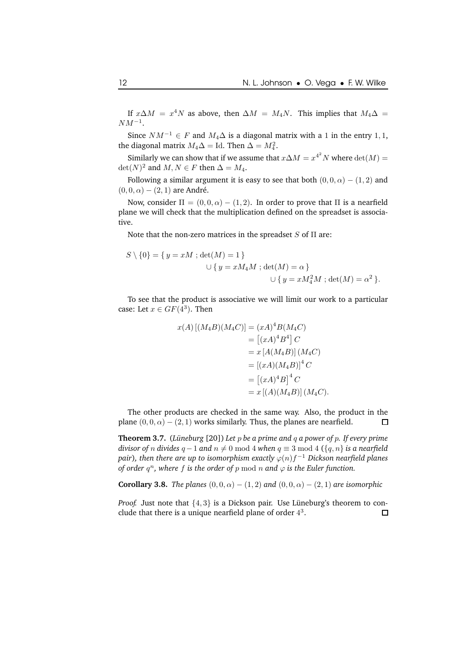If  $x \Delta M = x^4 N$  as above, then  $\Delta M = M_4 N$ . This implies that  $M_4 \Delta =$  $NM^{-1}$ .

Since  $NM^{-1} \in F$  and  $M_4\Delta$  is a diagonal matrix with a 1 in the entry 1, 1, the diagonal matrix  $M_4\Delta =$  Id. Then  $\Delta = M_4^2$ .

Similarly we can show that if we assume that  $x\Delta M=x^{4^2}N$  where  $\det(M)=$  $\det(N)^2$  and  $M, N \in F$  then  $\Delta = M_4$ .

Following a similar argument it is easy to see that both  $(0, 0, \alpha) - (1, 2)$  and  $(0, 0, \alpha) - (2, 1)$  are André.

Now, consider  $\Pi = (0, 0, \alpha) - (1, 2)$ . In order to prove that  $\Pi$  is a nearfield plane we will check that the multiplication defined on the spreadset is associative.

Note that the non-zero matrices in the spreadset  $S$  of  $\Pi$  are:

$$
S \setminus \{0\} = \{ y = xM \; ; \det(M) = 1 \}
$$
  

$$
\cup \{ y = xM_4M \; ; \det(M) = \alpha \}
$$
  

$$
\cup \{ y = xM_4^2M \; ; \det(M) = \alpha^2 \}.
$$

To see that the product is associative we will limit our work to a particular case: Let  $x \in GF(4^3)$ . Then

$$
x(A) [(M_4B)(M_4C)] = (xA)^4B(M_4C)
$$
  
\n
$$
= [(xA)^4B^4] C
$$
  
\n
$$
= x [A(M_4B)] (M_4C)
$$
  
\n
$$
= [(xA)(M_4B)]^4 C
$$
  
\n
$$
= [(xA)^4B]^4 C
$$
  
\n
$$
= x [(A)(M_4B)] (M_4C).
$$

The other products are checked in the same way. Also, the product in the plane  $(0, 0, \alpha) - (2, 1)$  works similarly. Thus, the planes are nearfield.  $\Box$ 

**Theorem 3.7.** (Lüneburg [20]) Let  $p$  be a prime and  $q$  a power of  $p$ . If every prime *divisor of n divides*  $q - 1$  *and*  $n \neq 0$  mod 4 *when*  $q \equiv 3$  mod 4 ({q, n} *is a nearfield*  $p$ air), *then there are up to isomorphism exactly*  $\varphi(n)f^{-1}$  *Dickson nearfield planes of order*  $q^n$ *, where f is the order of*  $p \mod n$  *and*  $\varphi$  *is the Euler function.* 

**Corollary 3.8.** *The planes*  $(0, 0, \alpha) - (1, 2)$  *and*  $(0, 0, \alpha) - (2, 1)$  *are isomorphic* 

*Proof.* Just note that  $\{4, 3\}$  is a Dickson pair. Use Lüneburg's theorem to conclude that there is a unique nearfield plane of order  $4^3$ . clude that there is a unique nearfield plane of order  $4^3$ .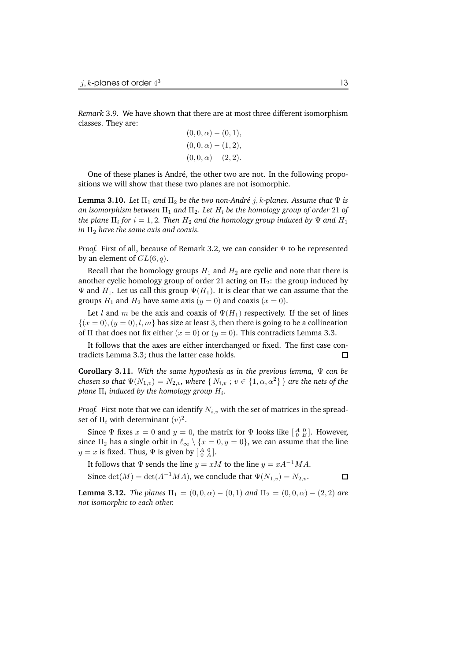*Remark* 3.9*.* We have shown that there are at most three different isomorphism classes. They are:

$$
(0,0,\alpha) - (0,1),(0,0,\alpha) - (1,2),(0,0,\alpha) - (2,2).
$$

One of these planes is André, the other two are not. In the following propositions we will show that these two planes are not isomorphic.

**Lemma** 3.10. *Let*  $\Pi_1$  *and*  $\Pi_2$  *be the two non-André j*, *k*-planes. Assume that  $\Psi$  *is an isomorphism between* Π<sup>1</sup> *and* Π2*. Let* H<sup>i</sup> *be the homology group of order* 21 *of*  $t$ he plane  $\Pi_i$  for  $i=1,2$ . Then  $H_2$  and the homology group induced by  $\Psi$  and  $H_1$ *in* Π<sup>2</sup> *have the same axis and coaxis.*

*Proof.* First of all, because of Remark 3.2, we can consider  $\Psi$  to be represented by an element of  $GL(6, q)$ .

Recall that the homology groups  $H_1$  and  $H_2$  are cyclic and note that there is another cyclic homology group of order 21 acting on  $\Pi_2$ : the group induced by  $\Psi$  and  $H_1$ . Let us call this group  $\Psi(H_1)$ . It is clear that we can assume that the groups  $H_1$  and  $H_2$  have same axis  $(y = 0)$  and coaxis  $(x = 0)$ .

Let l and m be the axis and coaxis of  $\Psi(H_1)$  respectively. If the set of lines  ${(x = 0), (y = 0), l, m}$  has size at least 3, then there is going to be a collineation of Π that does not fix either  $(x = 0)$  or  $(y = 0)$ . This contradicts Lemma 3.3.

It follows that the axes are either interchanged or fixed. The first case contradicts Lemma 3.3; thus the latter case holds.  $\Box$ 

**Corollary 3.11.** *With the same hypothesis as in the previous lemma,* Ψ *can be chosen so that*  $\Psi(N_{1,v}) = N_{2,v}$ , where  $\{N_{i,v} ; v \in \{1, \alpha, \alpha^2\}\}\$  are the nets of the  $p$ lane  $\Pi_i$  induced by the homology group  $H_i.$ 

*Proof.* First note that we can identify  $N_{i,v}$  with the set of matrices in the spreadset of  $\Pi_i$  with determinant  $(v)^2$ .

Since  $\Psi$  fixes  $x = 0$  and  $y = 0$ , the matrix for  $\Psi$  looks like  $\begin{bmatrix} A & 0 \\ 0 & B \end{bmatrix}$ . However, since  $\Pi_2$  has a single orbit in  $\ell_{\infty} \setminus \{x = 0, y = 0\}$ , we can assume that the line  $y = x$  is fixed. Thus,  $\Psi$  is given by  $\left[\begin{smallmatrix} A & 0 \\ 0 & A \end{smallmatrix}\right]$ .

It follows that  $\Psi$  sends the line  $y = xM$  to the line  $y = xA^{-1}MA$ . Since  $\det(M) = \det(A^{-1}MA)$ , we conclude that  $\Psi(N_{1,v}) = N_{2,v}$ .  $\Box$ 

**Lemma 3.12.** *The planes*  $\Pi_1 = (0, 0, \alpha) - (0, 1)$  *and*  $\Pi_2 = (0, 0, \alpha) - (2, 2)$  *are not isomorphic to each other.*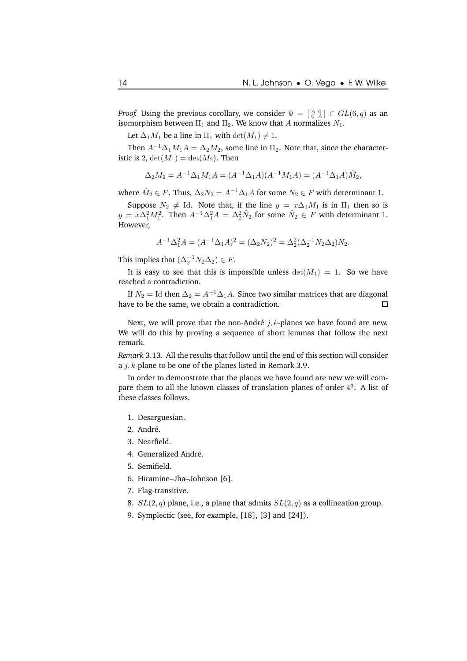*Proof.* Using the previous corollary, we consider  $\Psi = \begin{bmatrix} A & 0 \\ 0 & A \end{bmatrix} \in GL(6,q)$  as an isomorphism between  $\Pi_1$  and  $\Pi_2$ . We know that A normalizes  $N_1$ .

Let  $\Delta_1 M_1$  be a line in  $\Pi_1$  with  $\det(M_1) \neq 1$ .

Then  $A^{-1}\Delta_1M_1A = \Delta_2M_2$ , some line in  $\Pi_2$ . Note that, since the characteristic is 2,  $det(M_1) = det(M_2)$ . Then

$$
\Delta_2 M_2 = A^{-1} \Delta_1 M_1 A = (A^{-1} \Delta_1 A)(A^{-1} M_1 A) = (A^{-1} \Delta_1 A) \tilde{M}_2,
$$

where  $\tilde{M}_2 \in F$ . Thus,  $\Delta_2 N_2 = A^{-1} \Delta_1 A$  for some  $N_2 \in F$  with determinant 1.

Suppose  $N_2 \neq \text{Id}$ . Note that, if the line  $y = x\Delta_1 M_1$  is in  $\Pi_1$  then so is  $y = x\Delta_1^2 M_1^2$ . Then  $A^{-1}\Delta_1^2 A = \Delta_2^2 \tilde{N}_2$  for some  $\tilde{N}_2 \in F$  with determinant 1. However,

$$
A^{-1} \Delta_1^2 A = (A^{-1} \Delta_1 A)^2 = (\Delta_2 N_2)^2 = \Delta_2^2 (\Delta_2^{-1} N_2 \Delta_2) N_2.
$$

This implies that  $(\Delta_2^{-1}N_2\Delta_2) \in F$ .

It is easy to see that this is impossible unless  $det(M_1) = 1$ . So we have reached a contradiction.

If  $N_2 =$  Id then  $\Delta_2 = A^{-1}\Delta_1 A$ . Since two similar matrices that are diagonal have to be the same, we obtain a contradiction.  $\Box$ 

Next, we will prove that the non-André  $j$ ,  $k$ -planes we have found are new. We will do this by proving a sequence of short lemmas that follow the next remark.

*Remark* 3.13*.* All the results that follow until the end of this section will consider a  $j, k$ -plane to be one of the planes listed in Remark 3.9.

In order to demonstrate that the planes we have found are new we will compare them to all the known classes of translation planes of order  $4<sup>3</sup>$ . A list of these classes follows.

- 1. Desarguesian.
- 2. André.
- 3. Nearfield.
- 4. Generalized André.
- 5. Semifield.
- 6. Hiramine–Jha–Johnson [6].
- 7. Flag-transitive.
- 8.  $SL(2,q)$  plane, i.e., a plane that admits  $SL(2,q)$  as a collineation group.
- 9. Symplectic (see, for example, [18], [3] and [24]).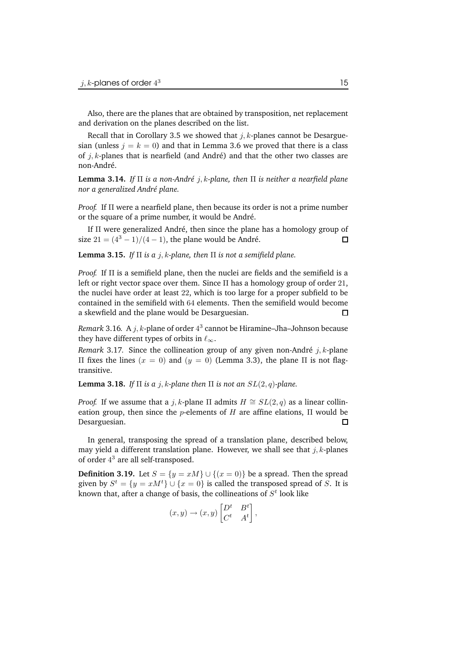Also, there are the planes that are obtained by transposition, net replacement and derivation on the planes described on the list.

Recall that in Corollary 3.5 we showed that  $j, k$ -planes cannot be Desarguesian (unless  $j = k = 0$ ) and that in Lemma 3.6 we proved that there is a class of  $j, k$ -planes that is nearfield (and André) and that the other two classes are non-André.

**Lemma 3.14.** *If* Π *is a non-Andr´e* j, k*-plane, then* Π *is neither a nearfield plane nor a generalized Andr´e plane.*

*Proof.* If Π were a nearfield plane, then because its order is not a prime number or the square of a prime number, it would be André.

If  $\Pi$  were generalized André, then since the plane has a homology group of size  $21 = (4^3 - 1)/(4 - 1)$ , the plane would be André.  $\Box$ 

**Lemma 3.15.** *If* Π *is a* j, k*-plane, then* Π *is not a semifield plane.*

*Proof.* If Π is a semifield plane, then the nuclei are fields and the semifield is a left or right vector space over them. Since  $\Pi$  has a homology group of order 21, the nuclei have order at least 22, which is too large for a proper subfield to be contained in the semifield with 64 elements. Then the semifield would become a skewfield and the plane would be Desarguesian.  $\Box$ 

*Remark* 3.16. A  $j$ ,  $k$ -plane of order  $4^3$  cannot be Hiramine–Jha–Johnson because they have different types of orbits in  $\ell_{\infty}$ .

*Remark* 3.17. Since the collineation group of any given non-André  $j$ ,  $k$ -plane Π fixes the lines  $(x = 0)$  and  $(y = 0)$  (Lemma 3.3), the plane Π is not flagtransitive.

**Lemma 3.18.** *If*  $\Pi$  *is*  $a$  *j*,  $k$ -plane then  $\Pi$  *is* not an  $SL(2, q)$ -plane.

*Proof.* If we assume that a j, k-plane  $\Pi$  admits  $H \cong SL(2,q)$  as a linear collineation group, then since the *p*-elements of  $H$  are affine elations,  $\Pi$  would be Desarguesian.  $\Box$ 

In general, transposing the spread of a translation plane, described below, may yield a different translation plane. However, we shall see that  $j, k$ -planes of order 4 <sup>3</sup> are all self-transposed.

**Definition 3.19.** Let  $S = \{y = xM\} \cup \{(x = 0)\}\$  be a spread. Then the spread given by  $S^t = \{y = xM^t\} \cup \{x = 0\}$  is called the transposed spread of S. It is known that, after a change of basis, the collineations of  $S^t$  look like

$$
(x,y)\rightarrow (x,y)\begin{bmatrix}D^t & B^t\\ C^t & A^t\end{bmatrix},
$$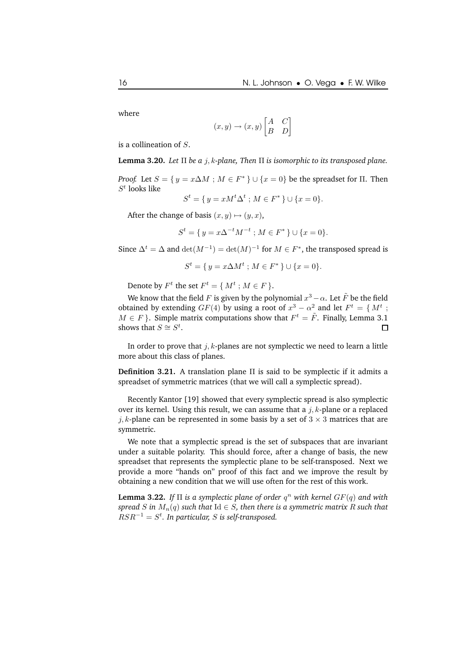where

$$
(x, y) \rightarrow (x, y) \begin{bmatrix} A & C \\ B & D \end{bmatrix}
$$

is a collineation of S.

**Lemma 3.20.** *Let* Π *be a* j, k*-plane, Then* Π *is isomorphic to its transposed plane.*

*Proof.* Let  $S = \{ y = x \Delta M : M \in F^* \} \cup \{ x = 0 \}$  be the spreadset for  $\Pi$ . Then  $S^t$  looks like

 $S^t = \{ y = xM^t \Delta^t ; M \in F^* \} \cup \{ x = 0 \}.$ 

After the change of basis  $(x, y) \mapsto (y, x)$ ,

$$
S^{t} = \{ y = x\Delta^{-t}M^{-t} ; M \in F^* \} \cup \{ x = 0 \}.
$$

Since  $\Delta^t = \Delta$  and  $\det(M^{-1}) = \det(M)^{-1}$  for  $M \in F^*$ , the transposed spread is

$$
S^t = \{ y = x \Delta M^t ; M \in F^* \} \cup \{ x = 0 \}.
$$

Denote by  $F^t$  the set  $F^t = \{M^t : M \in F\}$ .

We know that the field F is given by the polynomial  $x^3 - \alpha$ . Let  $\tilde{F}$  be the field obtained by extending  $GF(4)$  by using a root of  $x^3 - \alpha^2$  and let  $F^t = \{ M^t ;$  $M \in F$ }. Simple matrix computations show that  $F^t = \tilde{F}$ . Finally, Lemma 3.1 shows that  $S \cong S^t$ . П

In order to prove that  $j, k$ -planes are not symplectic we need to learn a little more about this class of planes.

**Definition 3.21.** A translation plane Π is said to be symplectic if it admits a spreadset of symmetric matrices (that we will call a symplectic spread).

Recently Kantor [19] showed that every symplectic spread is also symplectic over its kernel. Using this result, we can assume that a  $j, k$ -plane or a replaced j, k-plane can be represented in some basis by a set of  $3 \times 3$  matrices that are symmetric.

We note that a symplectic spread is the set of subspaces that are invariant under a suitable polarity. This should force, after a change of basis, the new spreadset that represents the symplectic plane to be self-transposed. Next we provide a more "hands on" proof of this fact and we improve the result by obtaining a new condition that we will use often for the rest of this work.

**Lemma 3.22.** *If* Π *is a symplectic plane of order* q <sup>n</sup> *with kernel* GF(q) *and with spread* S *in*  $M_n(q)$  *such that*  $Id \in S$ *, then there is a symmetric matrix* R *such that*  $RSR^{-1} = S^t$ . In particular, S is self-transposed.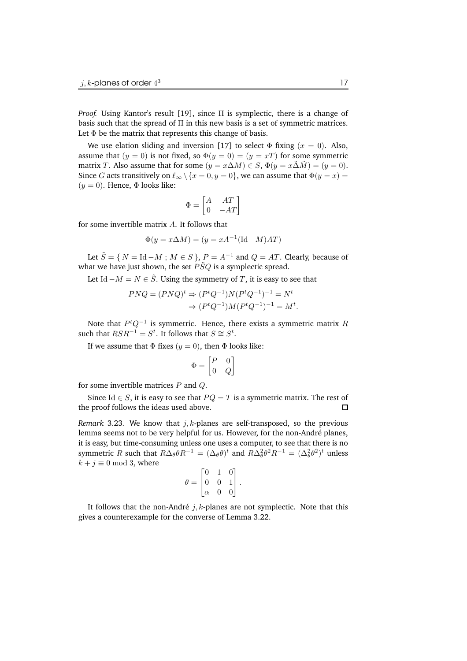*Proof.* Using Kantor's result [19], since Π is symplectic, there is a change of basis such that the spread of  $\Pi$  in this new basis is a set of symmetric matrices. Let  $\Phi$  be the matrix that represents this change of basis.

We use elation sliding and inversion [17] to select  $\Phi$  fixing ( $x = 0$ ). Also, assume that  $(y = 0)$  is not fixed, so  $\Phi(y = 0) = (y = xT)$  for some symmetric matrix T. Also assume that for some  $(y = x\Delta M) \in S$ ,  $\Phi(y = x\Delta M) = (y = 0)$ . Since G acts transitively on  $\ell_{\infty} \setminus \{x = 0, y = 0\}$ , we can assume that  $\Phi(y = x) =$  $(y = 0)$ . Hence,  $\Phi$  looks like:

$$
\Phi = \begin{bmatrix} A & AT \\ 0 & -AT \end{bmatrix}
$$

for some invertible matrix A. It follows that

$$
\Phi(y = x\Delta M) = (y = xA^{-1}(\text{Id} - M)AT)
$$

Let  $\tilde{S} = \{ N = \text{Id} - M : M \in S \}, P = A^{-1}$  and  $Q = AT$ . Clearly, because of what we have just shown, the set  $\tilde{PSQ}$  is a symplectic spread.

Let Id  $-M = N \in \tilde{S}$ . Using the symmetry of T, it is easy to see that

$$
PNQ = (PNQ)^t \Rightarrow (P^tQ^{-1})N(P^tQ^{-1})^{-1} = N^t
$$
  

$$
\Rightarrow (P^tQ^{-1})M(P^tQ^{-1})^{-1} = M^t.
$$

Note that  $P^tQ^{-1}$  is symmetric. Hence, there exists a symmetric matrix  $R$ such that  $RSR^{-1} = S^t$ . It follows that  $S \cong S^t$ .

If we assume that  $\Phi$  fixes  $(y = 0)$ , then  $\Phi$  looks like:

$$
\Phi = \begin{bmatrix} P & 0 \\ 0 & Q \end{bmatrix}
$$

for some invertible matrices  $P$  and  $Q$ .

Since Id ∈ *S*, it is easy to see that  $PQ = T$  is a symmetric matrix. The rest of e proof follows the ideas used above.  $\Box$ the proof follows the ideas used above.

*Remark* 3.23. We know that  $j, k$ -planes are self-transposed, so the previous lemma seems not to be very helpful for us. However, for the non-André planes, it is easy, but time-consuming unless one uses a computer, to see that there is no symmetric R such that  $R\Delta_{\theta}\theta R^{-1} = (\Delta_{\theta}\theta)^t$  and  $R\Delta_{\theta}^2\theta^2 R^{-1} = (\Delta_{\theta}^2\theta^2)^t$  unless  $k + j \equiv 0 \mod 3$ , where

$$
\theta = \begin{bmatrix} 0 & 1 & 0 \\ 0 & 0 & 1 \\ \alpha & 0 & 0 \end{bmatrix}.
$$

It follows that the non-André  $j, k$ -planes are not symplectic. Note that this gives a counterexample for the converse of Lemma 3.22.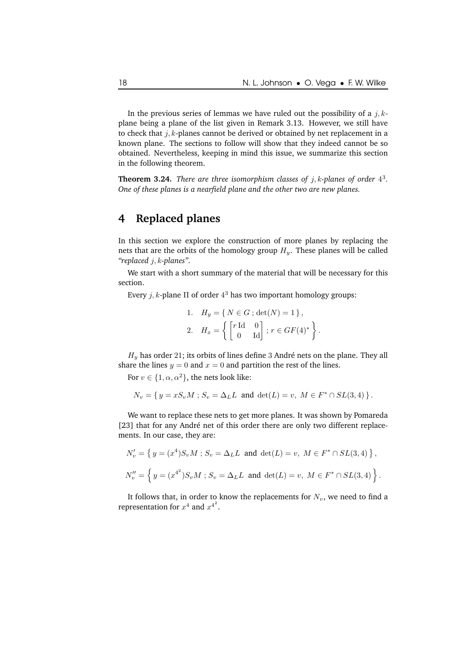.

In the previous series of lemmas we have ruled out the possibility of a  $j, k$ plane being a plane of the list given in Remark 3.13. However, we still have to check that  $j, k$ -planes cannot be derived or obtained by net replacement in a known plane. The sections to follow will show that they indeed cannot be so obtained. Nevertheless, keeping in mind this issue, we summarize this section in the following theorem.

**Theorem 3.24.** *There are three isomorphism classes of* j, k*-planes of order* 4 3 *. One of these planes is a nearfield plane and the other two are new planes.*

### **4 Replaced planes**

In this section we explore the construction of more planes by replacing the nets that are the orbits of the homology group  $H<sub>y</sub>$ . These planes will be called *"replaced* j, k*-planes"*.

We start with a short summary of the material that will be necessary for this section.

Every  $j, k$ -plane  $\Pi$  of order  $4^3$  has two important homology groups:

1. 
$$
H_y = \{ N \in G ; \det(N) = 1 \},
$$
  
\n2.  $H_x = \left\{ \begin{bmatrix} r \operatorname{Id} & 0 \\ 0 & \operatorname{Id} \end{bmatrix} ; r \in GF(4)^* \right\}$ 

 $H_y$  has order 21; its orbits of lines define 3 André nets on the plane. They all share the lines  $y = 0$  and  $x = 0$  and partition the rest of the lines.

For  $v \in \{1, \alpha, \alpha^2\}$ , the nets look like:

$$
N_v = \{ y = xS_v M : S_v = \Delta_L L \text{ and } \det(L) = v, M \in F^* \cap SL(3, 4) \}.
$$

We want to replace these nets to get more planes. It was shown by Pomareda [23] that for any André net of this order there are only two different replacements. In our case, they are:

$$
N'_{v} = \left\{ y = (x^{4})S_{v}M \; ; \; S_{v} = \Delta_{L}L \text{ and } \det(L) = v, \; M \in F^{*} \cap SL(3, 4) \right\},
$$
  

$$
N''_{v} = \left\{ y = (x^{4^{2}})S_{v}M \; ; \; S_{v} = \Delta_{L}L \text{ and } \det(L) = v, \; M \in F^{*} \cap SL(3, 4) \right\}.
$$

It follows that, in order to know the replacements for  $N_v$ , we need to find a representation for  $x^4$  and  $x^{4^2}.$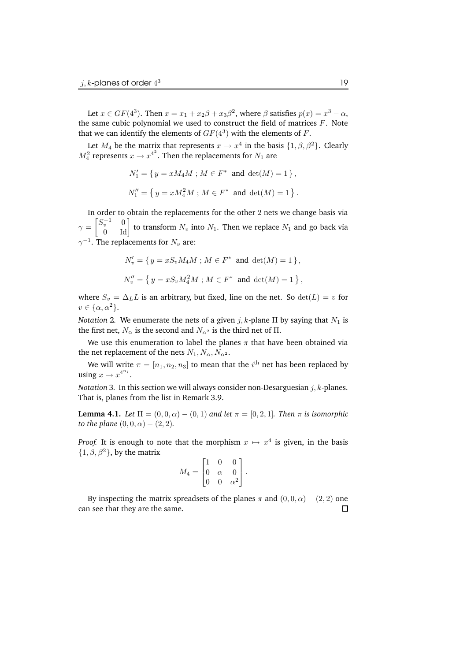Let  $x \in GF(4^3)$ . Then  $x = x_1 + x_2\beta + x_3\beta^2$ , where  $\beta$  satisfies  $p(x) = x^3 - \alpha$ , the same cubic polynomial we used to construct the field of matrices  $F$ . Note that we can identify the elements of  $GF(4^3)$  with the elements of  $F.$ 

Let  $M_4$  be the matrix that represents  $x \to x^4$  in the basis  $\{1, \beta, \beta^2\}$ . Clearly  $M_4^2$  represents  $x \to x^{4^2}$ . Then the replacements for  $N_1$  are

$$
N'_1 = \{ y = xM_4M \, ; \, M \in F^* \text{ and } \det(M) = 1 \},
$$
  
 $N''_1 = \{ y = xM_4^2M \, ; \, M \in F^* \text{ and } \det(M) = 1 \}.$ 

In order to obtain the replacements for the other 2 nets we change basis via  $\gamma =$  $\begin{bmatrix} S_v^{-1} & 0 \\ 0 & \text{Id} \end{bmatrix}$  to transform  $N_v$  into  $N_1$ . Then we replace  $N_1$  and go back via  $\gamma^{-1}.$  The replacements for  $N_v$  are:

$$
N'_{v} = \{ y = xS_{v}M_{4}M ; M \in F^{*} \text{ and } \det(M) = 1 \},
$$
  

$$
N''_{v} = \{ y = xS_{v}M_{4}^{2}M ; M \in F^{*} \text{ and } \det(M) = 1 \},
$$

where  $S_v = \Delta_L L$  is an arbitrary, but fixed, line on the net. So  $det(L) = v$  for  $v \in {\alpha, \alpha^2}.$ 

*Notation* 2. We enumerate the nets of a given  $j$ ,  $k$ -plane  $\Pi$  by saying that  $N_1$  is the first net,  $N_{\alpha}$  is the second and  $N_{\alpha^2}$  is the third net of  $\Pi$ .

We use this enumeration to label the planes  $\pi$  that have been obtained via the net replacement of the nets  $N_1, N_\alpha, N_{\alpha^2}$ .

We will write  $\pi=[n_1,n_2,n_3]$  to mean that the  $i^{\text{th}}$  net has been replaced by using  $x \to x^{4^{n_i}}$ .

*Notation* 3. In this section we will always consider non-Desarguesian  $j, k$ -planes. That is, planes from the list in Remark 3.9.

**Lemma 4.1.** *Let*  $\Pi = (0, 0, \alpha) - (0, 1)$  *and let*  $\pi = [0, 2, 1]$ *. Then*  $\pi$  *is isomorphic to the plane*  $(0, 0, \alpha) - (2, 2)$ *.* 

*Proof.* It is enough to note that the morphism  $x \mapsto x^4$  is given, in the basis  $\{1, \beta, \beta^2\}$ , by the matrix

$$
M_4 = \begin{bmatrix} 1 & 0 & 0 \\ 0 & \alpha & 0 \\ 0 & 0 & \alpha^2 \end{bmatrix}.
$$

By inspecting the matrix spreadsets of the planes  $\pi$  and  $(0, 0, \alpha) - (2, 2)$  one can see that they are the same.П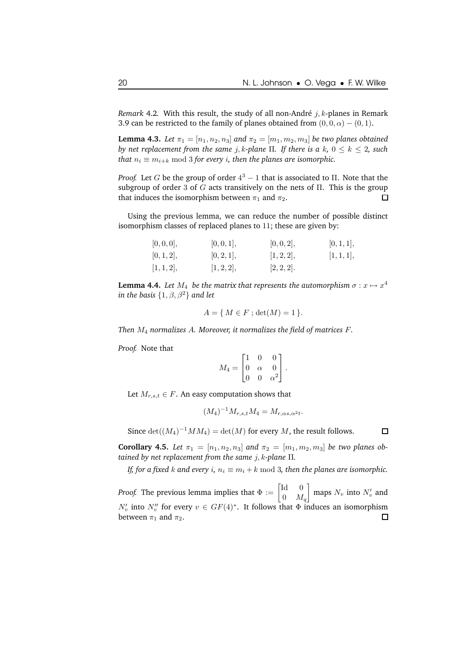*Remark* 4.2. With this result, the study of all non-André  $j, k$ -planes in Remark 3.9 can be restricted to the family of planes obtained from  $(0, 0, \alpha) - (0, 1)$ .

**Lemma 4.3.** *Let*  $\pi_1 = [n_1, n_2, n_3]$  *and*  $\pi_2 = [m_1, m_2, m_3]$  *be two planes obtained by net replacement from the same j*, *k*-plane  $\Pi$ *. If there is*  $a \, k$ ,  $0 \leq k \leq 2$ , *such that*  $n_i \equiv m_{i+k} \mod 3$  *for every i, then the planes are isomorphic.* 

*Proof.* Let *G* be the group of order  $4^3 - 1$  that is associated to Π. Note that the subgroup of order 3 of G acts transitively on the nets of  $\Pi$ . This is the group that induces the isomorphism between  $\pi_1$  and  $\pi_2$ . □

Using the previous lemma, we can reduce the number of possible distinct isomorphism classes of replaced planes to 11; these are given by:

| [0,0,0],   | [0, 0, 1], | [0, 0, 2], | [0,1,1],   |
|------------|------------|------------|------------|
| [0,1,2],   | [0, 2, 1], | [1, 2, 2], | [1, 1, 1], |
| [1, 1, 2], | [1, 2, 2], | [2, 2, 2]. |            |

**Lemma 4.4.** Let  $M_4$  be the matrix that represents the automorphism  $\sigma: x \mapsto x^4$  $i$ *n the basis*  $\{1, \beta, \beta^2\}$  and let

$$
A = \{ M \in F ; \det(M) = 1 \}.
$$

*Then* M<sup>4</sup> *normalizes* A*. Moreover, it normalizes the field of matrices* F*.*

*Proof.* Note that

$$
M_4 = \begin{bmatrix} 1 & 0 & 0 \\ 0 & \alpha & 0 \\ 0 & 0 & \alpha^2 \end{bmatrix}.
$$

Let  $M_{r,s,t} \in F$ . An easy computation shows that

$$
(M_4)^{-1} M_{r,s,t} M_4 = M_{r,\alpha s,\alpha^2 t}.
$$

Since  $\det((M_4)^{-1}MM_4) = \det(M)$  for every M, the result follows.  $\Box$ 

**Corollary 4.5.** *Let*  $\pi_1 = [n_1, n_2, n_3]$  *and*  $\pi_2 = [m_1, m_2, m_3]$  *be two planes obtained by net replacement from the same* j, k*-plane* Π*.*

*If, for a fixed k and every i,*  $n_i \equiv m_i + k \mod 3$ , *then the planes are isomorphic.* 

*Proof.* The previous lemma implies that  $\Phi := \begin{bmatrix} \text{Id} & 0 \\ 0 & M \end{bmatrix}$ 1 maps  $N_v$  into  $N'_v$  and  $0 \quad M_q$  $N'_v$  into  $N''_v$  for every  $v \in GF(4)^*$ . It follows that  $\Phi$  induces an isomorphism between  $\pi_1$  and  $\pi_2$ .  $\Box$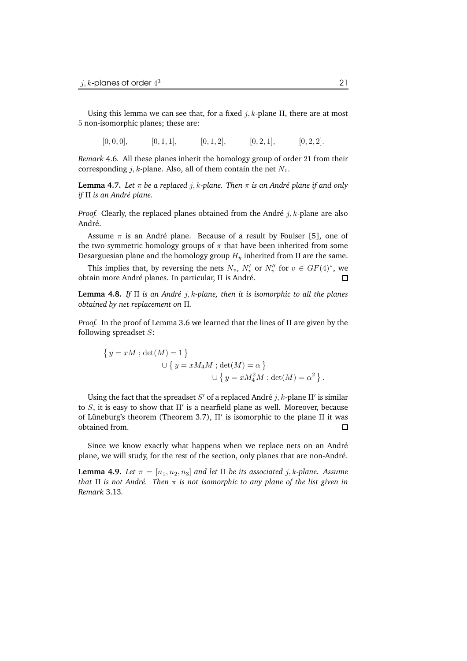Using this lemma we can see that, for a fixed  $j, k$ -plane  $\Pi$ , there are at most 5 non-isomorphic planes; these are:

 $[0, 0, 0],$   $[0, 1, 1],$   $[0, 1, 2],$   $[0, 2, 1],$   $[0, 2, 2].$ 

*Remark* 4.6*.* All these planes inherit the homology group of order 21 from their corresponding *j*, *k*-plane. Also, all of them contain the net  $N_1$ .

**Lemma** 4.7. Let  $\pi$  be a replaced *j*, *k*-plane. Then  $\pi$  is an André plane if and only *if* Π *is an Andr´e plane.*

*Proof.* Clearly, the replaced planes obtained from the André  $i, k$ -plane are also André.

Assume  $\pi$  is an André plane. Because of a result by Foulser [5], one of the two symmetric homology groups of  $\pi$  that have been inherited from some Desarguesian plane and the homology group  $H_y$  inherited from  $\Pi$  are the same.

This implies that, by reversing the nets  $N_v$ ,  $N'_v$  or  $N''_v$  for  $v \in GF(4)^*$ , we obtain more André planes. In particular, Π is André.  $\Box$ 

**Lemma 4.8.** *If* Π *is an Andr´e* j, k*-plane, then it is isomorphic to all the planes obtained by net replacement on* Π*.*

*Proof.* In the proof of Lemma 3.6 we learned that the lines of Π are given by the following spreadset  $S$ :

$$
\{ y = xM \; ; \det(M) = 1 \}
$$
  

$$
\cup \{ y = xM_4M \; ; \det(M) = \alpha \}
$$
  

$$
\cup \{ y = xM_4^2M \; ; \det(M) = \alpha^2 \}.
$$

Using the fact that the spreadset  $S'$  of a replaced André  $j,k$ -plane  $\Pi'$  is similar to S, it is easy to show that  $\Pi'$  is a nearfield plane as well. Moreover, because of Lüneburg's theorem (Theorem 3.7),  $\Pi'$  is isomorphic to the plane  $\Pi$  it was obtained from.  $\Box$ 

Since we know exactly what happens when we replace nets on an André plane, we will study, for the rest of the section, only planes that are non-André.

**Lemma 4.9.** *Let*  $\pi = [n_1, n_2, n_3]$  *and let*  $\Pi$  *be its associated j*, *k*-plane. Assume *that*  $\Pi$  *is not André. Then*  $\pi$  *is not isomorphic to any plane of the list given in Remark* 3.13*.*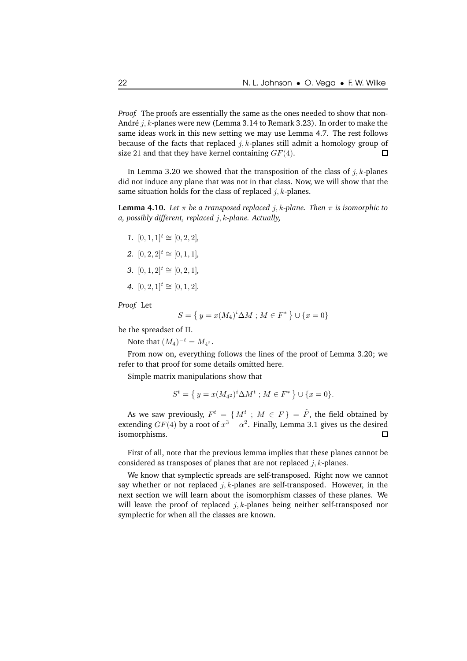*Proof.* The proofs are essentially the same as the ones needed to show that non-André  $j, k$ -planes were new (Lemma 3.14 to Remark 3.23). In order to make the same ideas work in this new setting we may use Lemma 4.7. The rest follows because of the facts that replaced  $i, k$ -planes still admit a homology group of size 21 and that they have kernel containing  $GF(4)$ .  $\Box$ 

In Lemma 3.20 we showed that the transposition of the class of j, k-planes did not induce any plane that was not in that class. Now, we will show that the same situation holds for the class of replaced  $j, k$ -planes.

**Lemma 4.10.** *Let*  $\pi$  *be a transposed replaced j*, *k*-plane. Then  $\pi$  *is isomorphic to a, possibly different, replaced* j, k*-plane. Actually,*

- *1.*  $[0, 1, 1]^t \cong [0, 2, 2]$ *,*
- *2.*  $[0, 2, 2]^t \cong [0, 1, 1]$ ,
- *3.*  $[0, 1, 2]$ <sup> $t ≅ [0, 2, 1]$ *,*</sup>
- *4.*  $[0, 2, 1]^t \cong [0, 1, 2].$

*Proof.* Let

$$
S = \{ y = x(M_4)^i \Delta M \; ; \, M \in F^* \} \cup \{ x = 0 \}
$$

be the spreadset of Π.

Note that  $(M_4)^{-t} = M_{4^2}$ .

From now on, everything follows the lines of the proof of Lemma 3.20; we refer to that proof for some details omitted here.

Simple matrix manipulations show that

$$
S^{t} = \{ y = x(M_{4^{2}})^{i} \Delta M^{t} ; M \in F^{*} \} \cup \{ x = 0 \}.
$$

As we saw previously,  $F^t = \{ M^t : M \in F \} = \tilde{F}$ , the field obtained by extending  $GF(4)$  by a root of  $x^3 - \alpha^2$ . Finally, Lemma 3.1 gives us the desired isomorphisms.  $\Box$ 

First of all, note that the previous lemma implies that these planes cannot be considered as transposes of planes that are not replaced  $j, k$ -planes.

We know that symplectic spreads are self-transposed. Right now we cannot say whether or not replaced  $j, k$ -planes are self-transposed. However, in the next section we will learn about the isomorphism classes of these planes. We will leave the proof of replaced  $j, k$ -planes being neither self-transposed nor symplectic for when all the classes are known.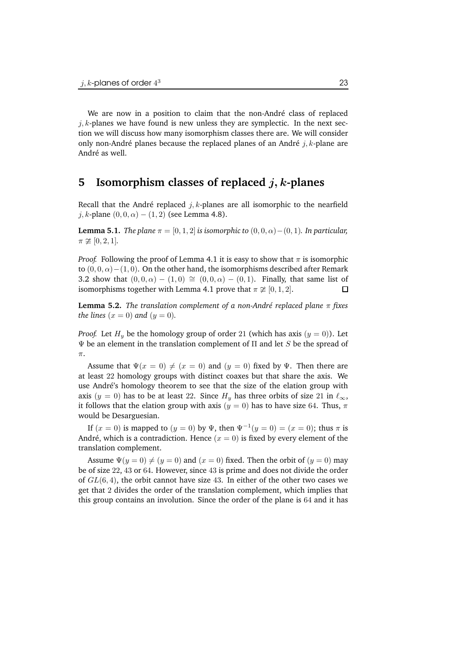We are now in a position to claim that the non-André class of replaced  $j, k$ -planes we have found is new unless they are symplectic. In the next section we will discuss how many isomorphism classes there are. We will consider only non-André planes because the replaced planes of an André j, k-plane are André as well.

### **5 Isomorphism classes of replaced** j, k**-planes**

Recall that the André replaced *j*, *k*-planes are all isomorphic to the nearfield j, k-plane  $(0, 0, \alpha) - (1, 2)$  (see Lemma 4.8).

**Lemma 5.1.** *The plane*  $\pi = [0, 1, 2]$  *is isomorphic to*  $(0, 0, \alpha) - (0, 1)$ *. In particular,*  $\pi \not\cong [0, 2, 1].$ 

*Proof.* Following the proof of Lemma 4.1 it is easy to show that  $\pi$  is isomorphic to  $(0, 0, \alpha) - (1, 0)$ . On the other hand, the isomorphisms described after Remark 3.2 show that  $(0, 0, \alpha) - (1, 0) \cong (0, 0, \alpha) - (0, 1)$ . Finally, that same list of isomorphisms together with Lemma 4.1 prove that  $\pi \cong [0, 1, 2]$ isomorphisms together with Lemma 4.1 prove that  $\pi \not\cong [0, 1, 2]$ .

**Lemma 5.2.** *The translation complement of a non-Andr´e replaced plane* π *fixes the lines*  $(x = 0)$  *and*  $(y = 0)$ *.* 

*Proof.* Let  $H_y$  be the homology group of order 21 (which has axis  $(y = 0)$ ). Let  $\Psi$  be an element in the translation complement of Π and let S be the spread of  $\pi$ .

Assume that  $\Psi(x = 0) \neq (x = 0)$  and  $(y = 0)$  fixed by Ψ. Then there are at least 22 homology groups with distinct coaxes but that share the axis. We use André's homology theorem to see that the size of the elation group with axis (y = 0) has to be at least 22. Since  $H<sub>y</sub>$  has three orbits of size 21 in  $\ell_{\infty}$ , it follows that the elation group with axis ( $y = 0$ ) has to have size 64. Thus,  $\pi$ would be Desarguesian.

If  $(x = 0)$  is mapped to  $(y = 0)$  by  $\Psi$ , then  $\Psi^{-1}(y = 0) = (x = 0)$ ; thus  $\pi$  is André, which is a contradiction. Hence  $(x = 0)$  is fixed by every element of the translation complement.

Assume  $\Psi(y = 0) \neq (y = 0)$  and  $(x = 0)$  fixed. Then the orbit of  $(y = 0)$  may be of size 22, 43 or 64. However, since 43 is prime and does not divide the order of  $GL(6, 4)$ , the orbit cannot have size 43. In either of the other two cases we get that 2 divides the order of the translation complement, which implies that this group contains an involution. Since the order of the plane is 64 and it has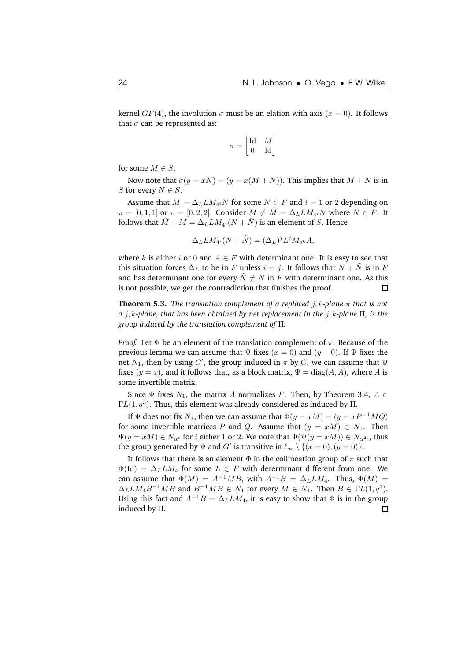kernel  $GF(4)$ , the involution  $\sigma$  must be an elation with axis ( $x = 0$ ). It follows that  $\sigma$  can be represented as:

$$
\sigma = \begin{bmatrix} \text{Id} & M \\ 0 & \text{Id} \end{bmatrix}
$$

for some  $M \in S$ .

Now note that  $\sigma(y = xN) = (y = x(M + N))$ . This implies that  $M + N$  is in S for every  $N \in S$ .

Assume that  $M = \Delta_L LM_{4^i}N$  for some  $N \in F$  and  $i = 1$  or 2 depending on  $\pi = [0, 1, 1]$  or  $\pi = [0, 2, 2]$ . Consider  $M \neq \tilde{M} = \Delta_L LM_{4i}\tilde{N}$  where  $\tilde{N} \in F$ . It follows that  $\tilde{M}+M=\Delta_L LM_{4^i}(N+\tilde{N})$  is an element of  $S.$  Hence

$$
\Delta_L LM_{4^i}(N+\tilde{N}) = (\Delta_L)^j L^j M_{4^k} A,
$$

where k is either i or 0 and  $A \in F$  with determinant one. It is easy to see that this situation forces  $\Delta_L$  to be in F unless  $i = j$ . It follows that  $N + N$  is in F and has determinant one for every  $\tilde{N} \neq N$  in F with determinant one. As this is not possible, we get the contradiction that finishes the proof. □

**Theorem 5.3.** *The translation complement of a replaced*  $j$ *,*  $k$ *-plane*  $\pi$  *that is not a* j, k*-plane, that has been obtained by net replacement in the* j, k*-plane* Π*, is the group induced by the translation complement of* Π*.*

*Proof.* Let  $\Psi$  be an element of the translation complement of  $\pi$ . Because of the previous lemma we can assume that  $\Psi$  fixes  $(x = 0)$  and  $(y - 0)$ . If  $\Psi$  fixes the net  $N_1,$  then by using  $G',$  the group induced in  $\pi$  by  $G,$  we can assume that  $\Psi$ fixes ( $y = x$ ), and it follows that, as a block matrix,  $\Psi = diag(A, A)$ , where A is some invertible matrix.

Since  $\Psi$  fixes  $N_1$ , the matrix A normalizes F. Then, by Theorem 3.4,  $A \in$  $\Gamma L(1,q^3)$ . Thus, this element was already considered as induced by  $\Pi$ .

If  $\Psi$  does not fix  $N_1$ , then we can assume that  $\Phi(y = xM) = (y = xP^{-1}MQ)$ for some invertible matrices P and Q. Assume that  $(y = xM) \in N_1$ . Then  $\Psi(y = xM) \in N_{\alpha^i}$  for i either 1 or 2. We note that  $\Psi(\Psi(y = xM)) \in N_{\alpha^{2i}}$ , thus the group generated by  $\Psi$  and  $G'$  is transitive in  $\ell_{\infty} \setminus \{(x = 0), (y = 0)\}.$ 

It follows that there is an element  $\Phi$  in the collineation group of  $\pi$  such that  $\Phi(\text{Id}) = \Delta_L LM_A$  for some  $L \in F$  with determinant different from one. We can assume that  $\Phi(M) = A^{-1}MB$ , with  $A^{-1}B = \Delta_L LM_4$ . Thus,  $\Phi(M) =$  $\Delta_L LM_4B^{-1}MB$  and  $B^{-1}MB \in N_1$  for every  $M \in N_1$ . Then  $B \in \Gamma L(1,q^3)$ . Using this fact and  $A^{-1}B = \Delta_L LM_4$ , it is easy to show that  $\Phi$  is in the group induced by Π.□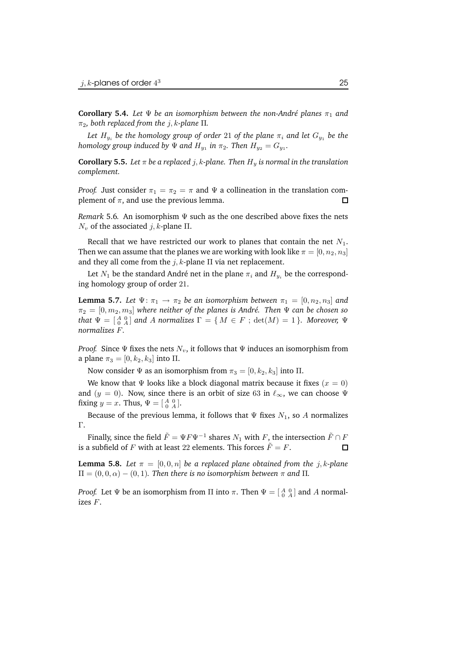**Corollary 5.4.** *Let*  $\Psi$  *be an isomorphism between the non-André planes*  $\pi_1$  *and*  $\pi_2$ , both replaced from the  $j$ , k-plane  $\Pi$ .

*Let*  $H_{y_i}$  *be the homology group of order* 21 *of the plane*  $\pi_i$  *and let*  $G_{y_1}$  *be the homology* group induced by  $\Psi$  and  $H_{y_1}$  in  $\pi_2$ . Then  $H_{y_2} = G_{y_1}$ .

**Corollary 5.5.** Let  $\pi$  be a replaced j, k-plane. Then  $H_y$  is normal in the translation *complement.*

*Proof.* Just consider  $\pi_1 = \pi_2 = \pi$  and  $\Psi$  a collineation in the translation complement of  $\pi$ , and use the previous lemma.  $\Box$ 

*Remark* 5.6*.* An isomorphism Ψ such as the one described above fixes the nets  $N_v$  of the associated *j*, *k*-plane Π.

Recall that we have restricted our work to planes that contain the net  $N_1$ . Then we can assume that the planes we are working with look like  $\pi = [0, n_2, n_3]$ and they all come from the  $j$ ,  $k$ -plane  $\Pi$  via net replacement.

Let  $N_1$  be the standard André net in the plane  $\pi_i$  and  $H_{y_i}$  be the corresponding homology group of order 21.

**Lemma 5.7.** Let  $\Psi: \pi_1 \to \pi_2$  be an isomorphism between  $\pi_1 = [0, n_2, n_3]$  and  $\pi_2 = [0, m_2, m_3]$  *where neither of the planes is André. Then*  $\Psi$  *can be chosen so that*  $\Psi = \begin{bmatrix} A & 0 \\ 0 & A \end{bmatrix}$  and A normalizes  $\Gamma = \{ M \in F ; \det(M) = 1 \}$ *. Moreover,*  $\Psi$ *normalizes* F*.*

*Proof.* Since  $\Psi$  fixes the nets  $N_v$ , it follows that  $\Psi$  induces an isomorphism from a plane  $\pi_3 = [0, k_2, k_3]$  into  $\Pi$ .

Now consider  $\Psi$  as an isomorphism from  $\pi_3 = [0, k_2, k_3]$  into  $\Pi$ .

We know that  $\Psi$  looks like a block diagonal matrix because it fixes  $(x = 0)$ and (y = 0). Now, since there is an orbit of size 63 in  $\ell_{\infty}$ , we can choose Ψ fixing  $y = x$ . Thus,  $\Psi = \begin{bmatrix} A & 0 \\ 0 & A \end{bmatrix}$ .

Because of the previous lemma, it follows that  $\Psi$  fixes  $N_1$ , so A normalizes Γ.

Finally, since the field  $\tilde{F} = \Psi F \Psi^{-1}$  shares  $N_1$  with  $F$ , the intersection  $\tilde{F} \cap F$ is a subfield of F with at least 22 elements. This forces  $\tilde{F} = F$ .

**Lemma** 5.8. Let  $\pi = [0, 0, n]$  be a replaced plane obtained from the j, k-plane  $\Pi = (0, 0, \alpha) - (0, 1)$ *. Then there is no isomorphism between*  $\pi$  *and*  $\Pi$ *.* 

*Proof.* Let  $\Psi$  be an isomorphism from  $\Pi$  into  $\pi$ . Then  $\Psi = \left[ \begin{smallmatrix} A & 0 \\ 0 & A \end{smallmatrix} \right]$  and  $A$  normalizes F.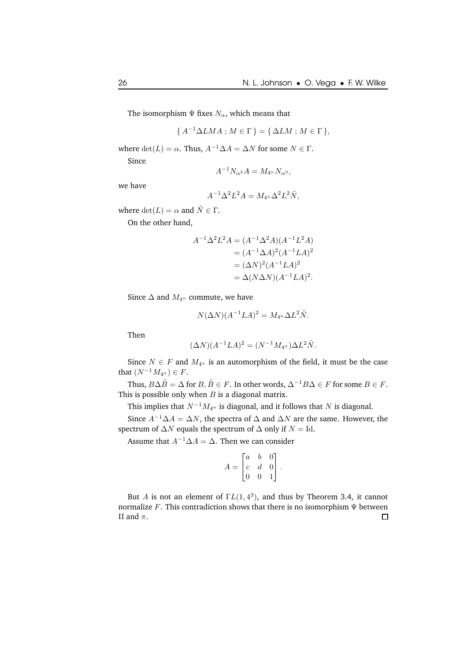The isomorphism  $\Psi$  fixes  $N_\alpha$ , which means that

$$
\{A^{-1}\Delta LMA \,;\, M \in \Gamma\} = \{\,\Delta LM \,;\, M \in \Gamma\,\},\
$$

where  $\det(L) = \alpha$ . Thus,  $A^{-1} \Delta A = \Delta N$  for some  $N \in \Gamma$ .

Since

$$
A^{-1}N_{\alpha^2}A = M_{4^n}N_{\alpha^2},
$$

we have

$$
A^{-1} \Delta^2 L^2 A = M_{4^n} \Delta^2 L^2 \tilde{N},
$$

where  $\det(L) = \alpha$  and  $\tilde{N} \in \Gamma$ .

On the other hand,

$$
A^{-1} \Delta^2 L^2 A = (A^{-1} \Delta^2 A)(A^{-1} L^2 A)
$$
  
=  $(A^{-1} \Delta A)^2 (A^{-1} L A)^2$   
=  $(\Delta N)^2 (A^{-1} L A)^2$   
=  $\Delta (N \Delta N)(A^{-1} L A)^2$ .

Since  $\Delta$  and  $M_{4^n}$  commute, we have

$$
N(\Delta N)(A^{-1}LA)^2 = M_{4^n}\Delta L^2\tilde{N}.
$$

Then

$$
(\Delta N)(A^{-1}LA)^2 = (N^{-1}M_{4^n})\Delta L^2\tilde{N}.
$$

Since  $N \in F$  and  $M_{4^n}$  is an automorphism of the field, it must be the case that  $(N^{-1}M_{4^n}) \in F$ .

Thus,  $B\Delta\tilde{B} = \Delta$  for  $B, \tilde{B} \in F$ . In other words,  $\Delta^{-1}B\Delta \in F$  for some  $B \in F$ . This is possible only when  $B$  is a diagonal matrix.

This implies that  $N^{-1}M_{4^n}$  is diagonal, and it follows that N is diagonal.

Since  $A^{-1} \Delta A = \Delta N$ , the spectra of  $\Delta$  and  $\Delta N$  are the same. However, the spectrum of  $\Delta N$  equals the spectrum of  $\Delta$  only if  $N = Id$ .

Assume that  $A^{-1} \Delta A = \Delta$ . Then we can consider

$$
A = \begin{bmatrix} a & b & 0 \\ c & d & 0 \\ 0 & 0 & 1 \end{bmatrix}.
$$

But A is not an element of  $\Gamma L(1, 4^3)$ , and thus by Theorem 3.4, it cannot normalize F. This contradiction shows that there is no isomorphism  $\Psi$  between Π and π. $\Box$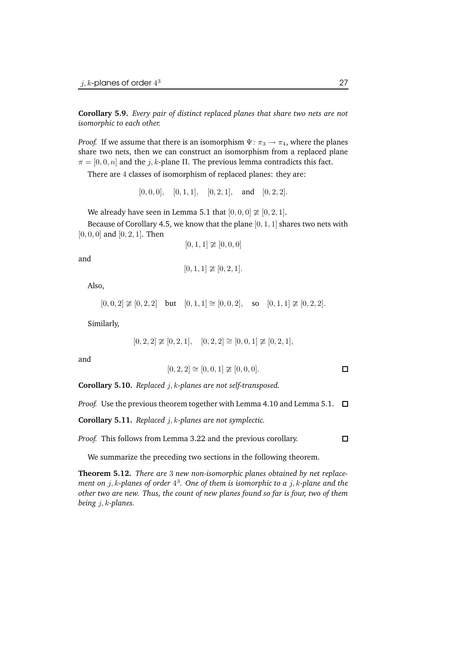**Corollary 5.9.** *Every pair of distinct replaced planes that share two nets are not isomorphic to each other.*

*Proof.* If we assume that there is an isomorphism  $\Psi$ :  $\pi_3 \rightarrow \pi_4$ , where the planes share two nets, then we can construct an isomorphism from a replaced plane  $\pi = [0, 0, n]$  and the j, k-plane Π. The previous lemma contradicts this fact.

There are 4 classes of isomorphism of replaced planes: they are:

 $[0, 0, 0]$ ,  $[0, 1, 1]$ ,  $[0, 2, 1]$ , and  $[0, 2, 2]$ .

We already have seen in Lemma 5.1 that  $[0, 0, 0] \not\cong [0, 2, 1]$ .

Because of Corollary 4.5, we know that the plane  $[0, 1, 1]$  shares two nets with  $[0, 0, 0]$  and  $[0, 2, 1]$ . Then

$$
[0,1,1] \not\cong [0,0,0]
$$

and

$$
[0,1,1] \not\cong [0,2,1].
$$

Also,

$$
[0,0,2] \not\cong [0,2,2]
$$
 but  $[0,1,1] \cong [0,0,2]$ , so  $[0,1,1] \not\cong [0,2,2]$ .

Similarly,

$$
[0,2,2]\ncong [0,2,1], \quad [0,2,2]\cong [0,0,1]\ncong [0,2,1],
$$

and

$$
[0, 2, 2] \cong [0, 0, 1] \ncong [0, 0, 0]. \square
$$

**Corollary 5.10.** *Replaced* j, k*-planes are not self-transposed.*

*Proof.* Use the previous theorem together with Lemma 4.10 and Lemma 5.1.  $\Box$ 

**Corollary 5.11.** *Replaced* j, k*-planes are not symplectic.*

*Proof.* This follows from Lemma 3.22 and the previous corollary.  $\Box$ 

We summarize the preceding two sections in the following theorem.

**Theorem 5.12.** *There are* 3 *new non-isomorphic planes obtained by net replacement on* j, k*-planes of order* 4 3 *. One of them is isomorphic to a* j, k*-plane and the other two are new. Thus, the count of new planes found so far is four, two of them being* j, k*-planes.*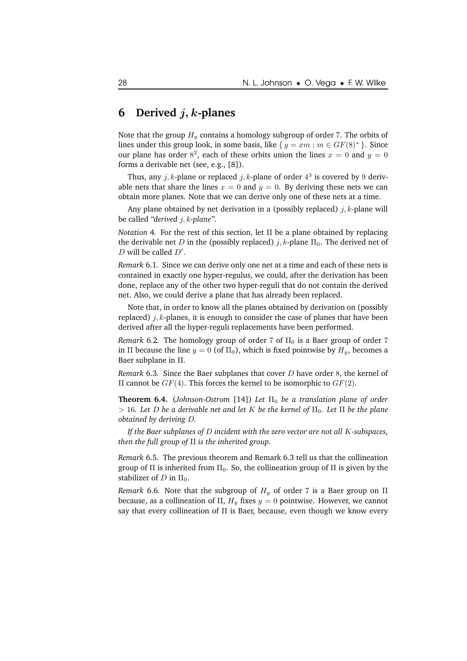### **6 Derived** j, k**-planes**

Note that the group  $H_y$  contains a homology subgroup of order 7. The orbits of lines under this group look, in some basis, like  $\{y = xm : m \in GF(8)^*\}$ . Since our plane has order  $8^2$ , each of these orbits union the lines  $x = 0$  and  $y = 0$ forms a derivable net (see, e.g., [8]).

Thus, any  $j, k$ -plane or replaced  $j, k$ -plane of order  $4^3$  is covered by 9 derivable nets that share the lines  $x = 0$  and  $y = 0$ . By deriving these nets we can obtain more planes. Note that we can derive only one of these nets at a time.

Any plane obtained by net derivation in a (possibly replaced)  $j, k$ -plane will be called *"derived* j, k*-plane"*.

*Notation* 4*.* For the rest of this section, let Π be a plane obtained by replacing the derivable net D in the (possibly replaced) j, k-plane  $\Pi_0$ . The derived net of  $D$  will be called  $D'$ .

*Remark* 6.1*.* Since we can derive only one net at a time and each of these nets is contained in exactly one hyper-regulus, we could, after the derivation has been done, replace any of the other two hyper-reguli that do not contain the derived net. Also, we could derive a plane that has already been replaced.

Note that, in order to know all the planes obtained by derivation on (possibly replaced)  $j, k$ -planes, it is enough to consider the case of planes that have been derived after all the hyper-reguli replacements have been performed.

*Remark* 6.2. The homology group of order 7 of  $\Pi_0$  is a Baer group of order 7 in Π because the line  $y = 0$  (of  $\Pi_0$ ), which is fixed pointwise by  $H_y$ , becomes a Baer subplane in Π.

*Remark* 6.3*.* Since the Baer subplanes that cover D have order 8, the kernel of II cannot be  $GF(4)$ . This forces the kernel to be isomorphic to  $GF(2)$ .

**Theorem 6.4.** (*Johnson-Ostrom* [14]) *Let*  $\Pi_0$  *be a translation plane of order*  $> 16$ *. Let D be a derivable net and let K be the kernel of*  $\Pi_0$ *. Let*  $\Pi$  *be the plane obtained by deriving* D*.*

*If the Baer subplanes of* D *incident with the zero vector are not all* K*-subspaces, then the full group of* Π *is the inherited group.*

*Remark* 6.5*.* The previous theorem and Remark 6.3 tell us that the collineation group of  $\Pi$  is inherited from  $\Pi_0$ . So, the collineation group of  $\Pi$  is given by the stabilizer of D in  $\Pi_0$ .

*Remark* 6.6. Note that the subgroup of  $H<sub>y</sub>$  of order 7 is a Baer group on  $\Pi$ because, as a collineation of Π,  $H<sub>y</sub>$  fixes  $y = 0$  pointwise. However, we cannot say that every collineation of  $\Pi$  is Baer, because, even though we know every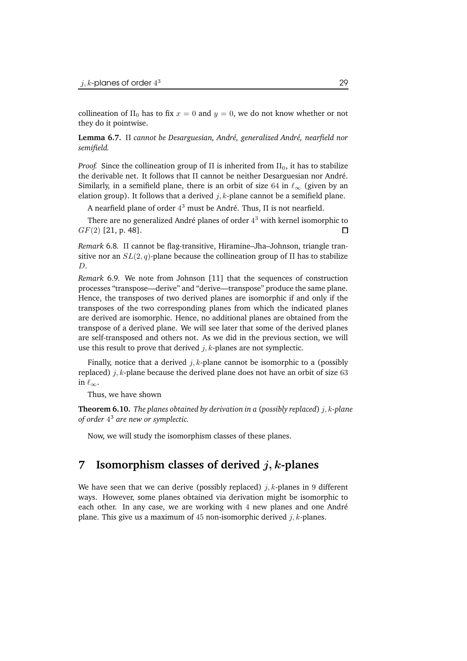collineation of  $\Pi_0$  has to fix  $x = 0$  and  $y = 0$ , we do not know whether or not they do it pointwise.

**Lemma 6.7.** Π *cannot be Desarguesian, Andr´e, generalized Andr´e, nearfield nor semifield.*

*Proof.* Since the collineation group of  $\Pi$  is inherited from  $\Pi_0$ , it has to stabilize the derivable net. It follows that  $\Pi$  cannot be neither Desarguesian nor André. Similarly, in a semifield plane, there is an orbit of size 64 in  $\ell_{\infty}$  (given by an elation group). It follows that a derived  $j, k$ -plane cannot be a semifield plane.

A nearfield plane of order  $4^3$  must be André. Thus,  $\Pi$  is not nearfield.

There are no generalized André planes of order  $4^3$  with kernel isomorphic to  $GF(2)$  [21, p. 48].  $\Box$ 

*Remark* 6.8*.* Π cannot be flag-transitive, Hiramine–Jha–Johnson, triangle transitive nor an  $SL(2, q)$ -plane because the collineation group of  $\Pi$  has to stabilize D.

*Remark* 6.9*.* We note from Johnson [11] that the sequences of construction processes "transpose—derive" and "derive—transpose" produce the same plane. Hence, the transposes of two derived planes are isomorphic if and only if the transposes of the two corresponding planes from which the indicated planes are derived are isomorphic. Hence, no additional planes are obtained from the transpose of a derived plane. We will see later that some of the derived planes are self-transposed and others not. As we did in the previous section, we will use this result to prove that derived  $j, k$ -planes are not symplectic.

Finally, notice that a derived  $j, k$ -plane cannot be isomorphic to a (possibly replaced) *j*, *k*-plane because the derived plane does not have an orbit of size 63 in  $\ell_{\infty}$ .

Thus, we have shown

**Theorem 6.10.** *The planes obtained by derivation in a* (*possibly replaced*) j, k*-plane of order* 4 <sup>3</sup> *are new or symplectic.*

Now, we will study the isomorphism classes of these planes.

### **7 Isomorphism classes of derived** j, k**-planes**

We have seen that we can derive (possibly replaced)  $j, k$ -planes in 9 different ways. However, some planes obtained via derivation might be isomorphic to each other. In any case, we are working with  $4$  new planes and one André plane. This give us a maximum of 45 non-isomorphic derived  $j, k$ -planes.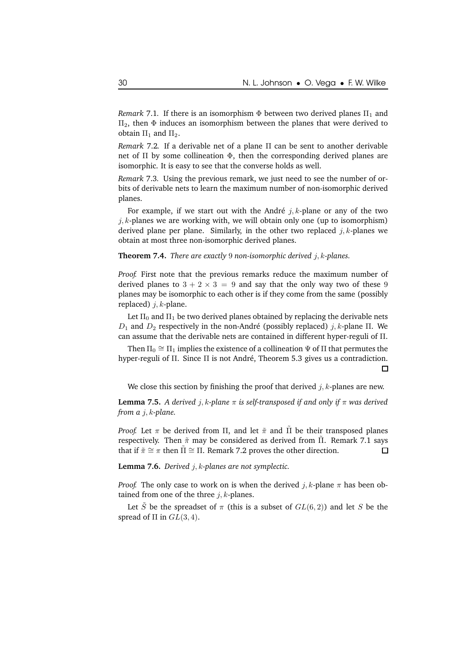*Remark* 7.1. If there is an isomorphism  $\Phi$  between two derived planes  $\Pi_1$  and  $\Pi_2$ , then  $\Phi$  induces an isomorphism between the planes that were derived to obtain  $\Pi_1$  and  $\Pi_2$ .

*Remark* 7.2*.* If a derivable net of a plane Π can be sent to another derivable net of  $\Pi$  by some collineation  $\Phi$ , then the corresponding derived planes are isomorphic. It is easy to see that the converse holds as well.

*Remark* 7.3*.* Using the previous remark, we just need to see the number of orbits of derivable nets to learn the maximum number of non-isomorphic derived planes.

For example, if we start out with the André  $j, k$ -plane or any of the two *j*, *k*-planes we are working with, we will obtain only one (up to isomorphism) derived plane per plane. Similarly, in the other two replaced  $j, k$ -planes we obtain at most three non-isomorphic derived planes.

**Theorem 7.4.** *There are exactly* 9 *non-isomorphic derived* j, k*-planes.*

*Proof.* First note that the previous remarks reduce the maximum number of derived planes to  $3 + 2 \times 3 = 9$  and say that the only way two of these 9 planes may be isomorphic to each other is if they come from the same (possibly replaced)  $j, k$ -plane.

Let  $\Pi_0$  and  $\Pi_1$  be two derived planes obtained by replacing the derivable nets  $D_1$  and  $D_2$  respectively in the non-André (possibly replaced) j, k-plane Π. We can assume that the derivable nets are contained in different hyper-reguli of Π.

Then  $\Pi_0 \cong \Pi_1$  implies the existence of a collineation  $\Psi$  of  $\Pi$  that permutes the hyper-reguli of  $\Pi$ . Since  $\Pi$  is not André, Theorem 5.3 gives us a contradiction.  $\Box$ 

We close this section by finishing the proof that derived  $j, k$ -planes are new.

**Lemma 7.5.** A derived j, k-plane  $\pi$  is self-transposed if and only if  $\pi$  was derived *from a* j, k*-plane.*

*Proof.* Let  $\pi$  be derived from  $\Pi$ , and let  $\tilde{\pi}$  and  $\Pi$  be their transposed planes respectively. Then  $\tilde{\pi}$  may be considered as derived from Π. Remark 7.1 says that if  $\tilde{\pi} \cong \pi$  then  $\tilde{\Pi} \cong \Pi$ . Remark 7.2 proves the other direction.  $\Box$ 

**Lemma 7.6.** *Derived* j, k*-planes are not symplectic.*

*Proof.* The only case to work on is when the derived  $j, k$ -plane  $\pi$  has been obtained from one of the three  $i, k$ -planes.

Let S be the spreadset of  $\pi$  (this is a subset of  $GL(6, 2)$ ) and let S be the spread of  $\Pi$  in  $GL(3, 4)$ .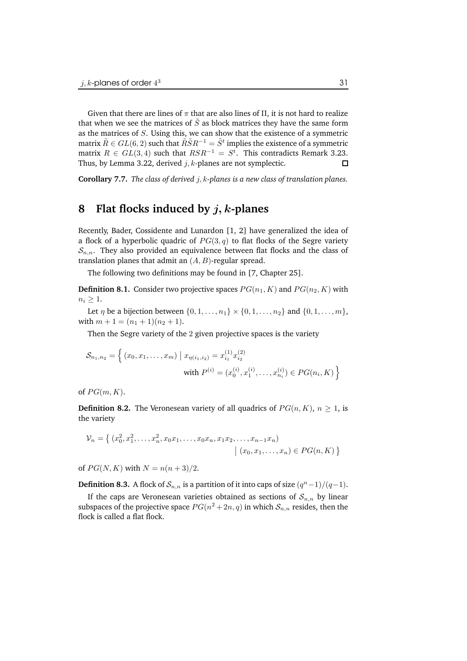Given that there are lines of  $\pi$  that are also lines of  $\Pi$ , it is not hard to realize that when we see the matrices of  $\tilde{S}$  as block matrices they have the same form as the matrices of S. Using this, we can show that the existence of a symmetric matrix  $\tilde{R} \in GL(6,2)$  such that  $\tilde{R}\tilde{S}R^{-1} = \tilde{S}^t$  implies the existence of a symmetric matrix  $R \in GL(3, 4)$  such that  $RSR^{-1} = S^t$ . This contradicts Remark 3.23. Thus, by Lemma 3.22, derived  $j, k$ -planes are not symplectic.  $\Box$ 

**Corollary 7.7.** *The class of derived* j, k*-planes is a new class of translation planes.*

## **8 Flat flocks induced by** j, k**-planes**

Recently, Bader, Cossidente and Lunardon [1, 2] have generalized the idea of a flock of a hyperbolic quadric of  $PG(3, q)$  to flat flocks of the Segre variety  $S_{n,n}$ . They also provided an equivalence between flat flocks and the class of translation planes that admit an  $(A, B)$ -regular spread.

The following two definitions may be found in [7, Chapter 25].

**Definition 8.1.** Consider two projective spaces  $PG(n_1, K)$  and  $PG(n_2, K)$  with  $n_i \geq 1$ .

Let  $\eta$  be a bijection between  $\{0, 1, ..., n_1\} \times \{0, 1, ..., n_2\}$  and  $\{0, 1, ..., m\}$ , with  $m + 1 = (n_1 + 1)(n_2 + 1)$ .

Then the Segre variety of the 2 given projective spaces is the variety

$$
S_{n_1,n_2} = \left\{ (x_0, x_1, \dots, x_m) \mid x_{\eta(i_1,i_2)} = x_{i_1}^{(1)} x_{i_2}^{(2)}
$$
  
with  $P^{(i)} = (x_0^{(i)}, x_1^{(i)}, \dots, x_{n_i}^{(i)}) \in PG(n_i, K) \right\}$ 

of  $PG(m, K)$ .

**Definition 8.2.** The Veronesean variety of all quadrics of  $PG(n, K)$ ,  $n \geq 1$ , is the variety

$$
\mathcal{V}_n = \left\{ (x_0^2, x_1^2, \dots, x_n^2, x_0 x_1, \dots, x_0 x_n, x_1 x_2, \dots, x_{n-1} x_n) \; | \; (x_0, x_1, \dots, x_n) \in PG(n, K) \right\}
$$

of  $PG(N, K)$  with  $N = n(n+3)/2$ .

**Definition 8.3.** A flock of  $\mathcal{S}_{n,n}$  is a partition of it into caps of size  $(q^n-1)/(q-1)$ .

If the caps are Veronesean varieties obtained as sections of  $S_{n,n}$  by linear subspaces of the projective space  $PG(n^2 + 2n, q)$  in which  $\mathcal{S}_{n,n}$  resides, then the flock is called a flat flock.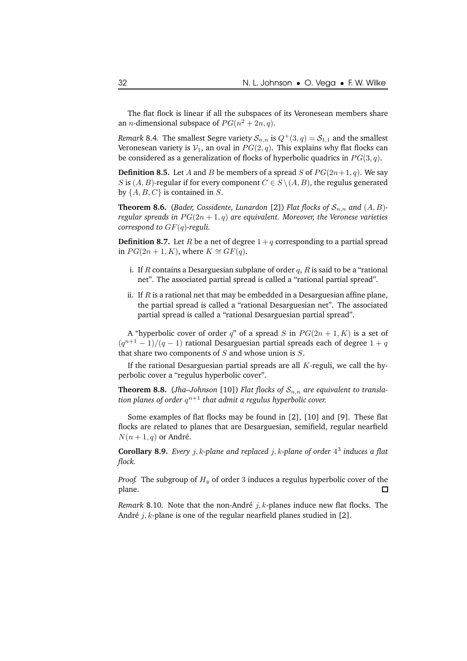The flat flock is linear if all the subspaces of its Veronesean members share an *n*-dimensional subspace of  $PG(n^2 + 2n, q)$ .

*Remark* 8.4. The smallest Segre variety  $S_{n,n}$  is  $Q^+(3, q) = S_{1,1}$  and the smallest Veronesean variety is  $V_1$ , an oval in  $PG(2, q)$ . This explains why flat flocks can be considered as a generalization of flocks of hyperbolic quadrics in  $PG(3, q)$ .

**Definition 8.5.** Let A and B be members of a spread S of  $PG(2n+1, q)$ . We say S is  $(A, B)$ -regular if for every component  $C \in S \setminus (A, B)$ , the regulus generated by  $\{A, B, C\}$  is contained in S.

**Theorem 8.6.** (*Bader, Cossidente, Lunardon* [2]) *Flat flocks of*  $S_{n,n}$  *and*  $(A, B)$ *regular spreads* in  $PG(2n + 1, q)$  *are equivalent. Moreover, the Veronese varieties correspond to* GF(q)*-reguli.*

**Definition 8.7.** Let R be a net of degree  $1 + q$  corresponding to a partial spread in  $PG(2n + 1, K)$ , where  $K ≅ GF(q)$ .

- i. If R contains a Desarguesian subplane of order  $q$ , R is said to be a "rational net". The associated partial spread is called a "rational partial spread".
- ii. If  $R$  is a rational net that may be embedded in a Desarguesian affine plane, the partial spread is called a "rational Desarguesian net". The associated partial spread is called a "rational Desarguesian partial spread".

A "hyperbolic cover of order q" of a spread S in  $PG(2n + 1, K)$  is a set of  $(q^{n+1}-1)/(q-1)$  rational Desarguesian partial spreads each of degree  $1+q$ that share two components of  $S$  and whose union is  $S$ .

If the rational Desarguesian partial spreads are all  $K$ -reguli, we call the hyperbolic cover a "regulus hyperbolic cover".

**Theorem 8.8.** (*Jha–Johnson* [10]) *Flat flocks of*  $S_{n,n}$  *are equivalent to translation planes of order* q <sup>n</sup>+1 *that admit a regulus hyperbolic cover.*

Some examples of flat flocks may be found in [2], [10] and [9]. These flat flocks are related to planes that are Desarguesian, semifield, regular nearfield  $N(n + 1, q)$  or André.

**Corollary 8.9.** *Every* j, k*-plane and replaced* j, k*-plane of order* 4 3 *induces a flat flock.*

*Proof.* The subgroup of  $H_u$  of order 3 induces a regulus hyperbolic cover of the plane. 口

*Remark* 8.10. Note that the non-André  $j$ ,  $k$ -planes induce new flat flocks. The André  $j$ , k-plane is one of the regular nearfield planes studied in [2].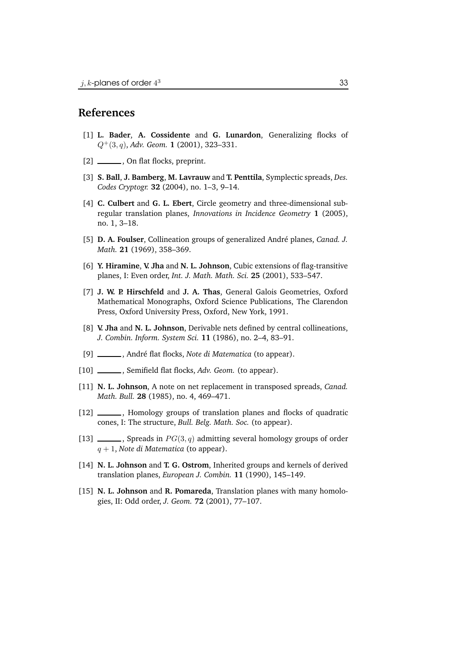#### **References**

- [1] **L. Bader**, **A. Cossidente** and **G. Lunardon**, Generalizing flocks of Q+(3, q), *Adv. Geom.* **1** (2001), 323–331.
- [2] \_\_\_\_\_\_\_, On flat flocks, preprint.
- [3] **S. Ball**, **J. Bamberg**, **M. Lavrauw** and **T. Penttila**, Symplectic spreads, *Des. Codes Cryptogr.* **32** (2004), no. 1–3, 9–14.
- [4] **C. Culbert** and **G. L. Ebert**, Circle geometry and three-dimensional subregular translation planes, *Innovations in Incidence Geometry* **1** (2005), no. 1, 3–18.
- [5] **D. A. Foulser**, Collineation groups of generalized André planes, *Canad. J. Math.* **21** (1969), 358–369.
- [6] **Y. Hiramine**, **V. Jha** and **N. L. Johnson**, Cubic extensions of flag-transitive planes, I: Even order, *Int. J. Math. Math. Sci.* **25** (2001), 533–547.
- [7] **J. W. P. Hirschfeld** and **J. A. Thas**, General Galois Geometries, Oxford Mathematical Monographs, Oxford Science Publications, The Clarendon Press, Oxford University Press, Oxford, New York, 1991.
- [8] **V. Jha** and **N. L. Johnson**, Derivable nets defined by central collineations, *J. Combin. Inform. System Sci.* **11** (1986), no. 2–4, 83–91.
- [9] \_\_\_\_\_\_\_, André flat flocks, *Note di Matematica* (to appear).
- [10] , Semifield flat flocks, *Adv. Geom.* (to appear).
- [11] **N. L. Johnson**, A note on net replacement in transposed spreads, *Canad. Math. Bull.* **28** (1985), no. 4, 469–471.
- [12] \_\_\_\_\_\_, Homology groups of translation planes and flocks of quadratic cones, I: The structure, *Bull. Belg. Math. Soc.* (to appear).
- [13]  $\_\_\_\_\$ , Spreads in  $PG(3, q)$  admitting several homology groups of order q + 1, *Note di Matematica* (to appear).
- [14] **N. L. Johnson** and **T. G. Ostrom**, Inherited groups and kernels of derived translation planes, *European J. Combin.* **11** (1990), 145–149.
- [15] **N. L. Johnson** and **R. Pomareda**, Translation planes with many homologies, II: Odd order, *J. Geom.* **72** (2001), 77–107.